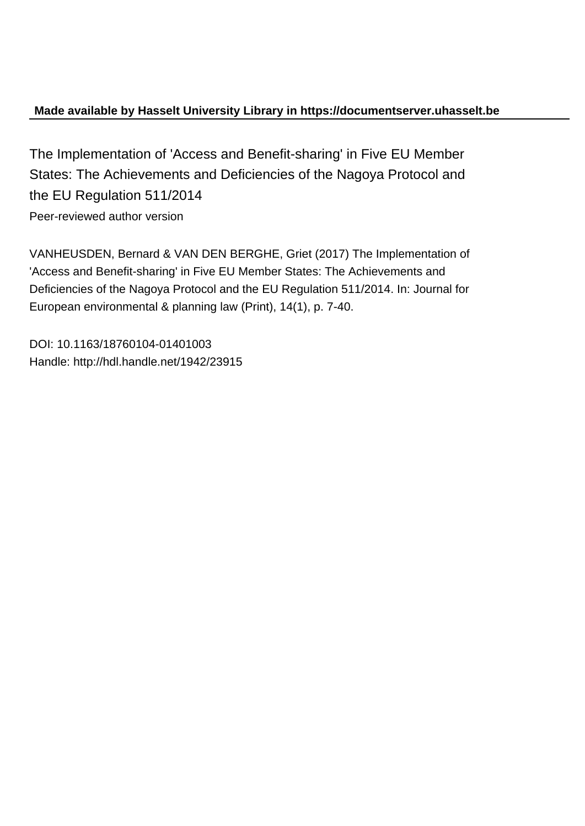# **Made available by Hasselt University Library in https://documentserver.uhasselt.be**

The Implementation of 'Access and Benefit-sharing' in Five EU Member States: The Achievements and Deficiencies of the Nagoya Protocol and the EU Regulation 511/2014 Peer-reviewed author version

VANHEUSDEN, Bernard & VAN DEN BERGHE, Griet (2017) The Implementation of 'Access and Benefit-sharing' in Five EU Member States: The Achievements and Deficiencies of the Nagoya Protocol and the EU Regulation 511/2014. In: Journal for European environmental & planning law (Print), 14(1), p. 7-40.

DOI: 10.1163/18760104-01401003 Handle: http://hdl.handle.net/1942/23915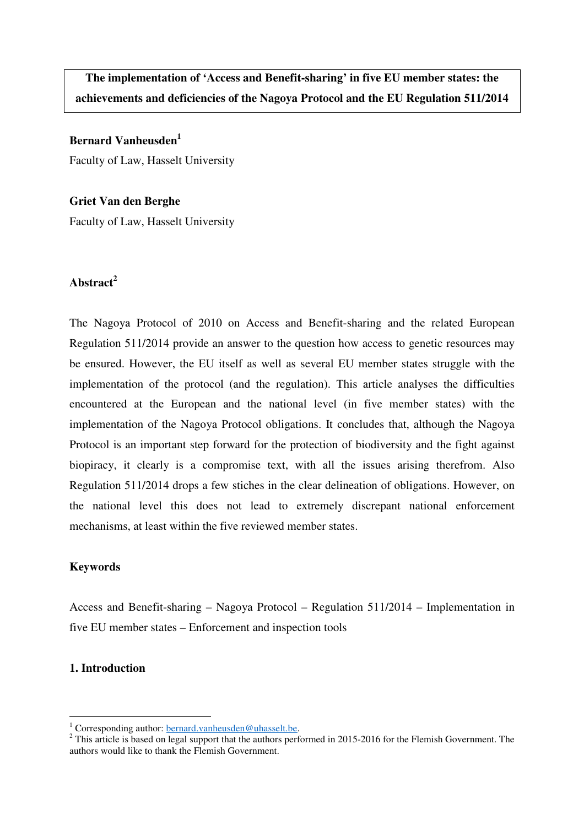**The implementation of 'Access and Benefit-sharing' in five EU member states: the achievements and deficiencies of the Nagoya Protocol and the EU Regulation 511/2014** 

**Bernard Vanheusden<sup>1</sup>**

Faculty of Law, Hasselt University

**Griet Van den Berghe**  Faculty of Law, Hasselt University

# **Abstract<sup>2</sup>**

The Nagoya Protocol of 2010 on Access and Benefit-sharing and the related European Regulation 511/2014 provide an answer to the question how access to genetic resources may be ensured. However, the EU itself as well as several EU member states struggle with the implementation of the protocol (and the regulation). This article analyses the difficulties encountered at the European and the national level (in five member states) with the implementation of the Nagoya Protocol obligations. It concludes that, although the Nagoya Protocol is an important step forward for the protection of biodiversity and the fight against biopiracy, it clearly is a compromise text, with all the issues arising therefrom. Also Regulation 511/2014 drops a few stiches in the clear delineation of obligations. However, on the national level this does not lead to extremely discrepant national enforcement mechanisms, at least within the five reviewed member states.

## **Keywords**

Access and Benefit-sharing – Nagoya Protocol – Regulation 511/2014 – Implementation in five EU member states – Enforcement and inspection tools

#### **1. Introduction**

<sup>&</sup>lt;sup>1</sup> Corresponding author: **bernard.vanheusden@uhasselt.be.** 

 $2$  This article is based on legal support that the authors performed in 2015-2016 for the Flemish Government. The authors would like to thank the Flemish Government.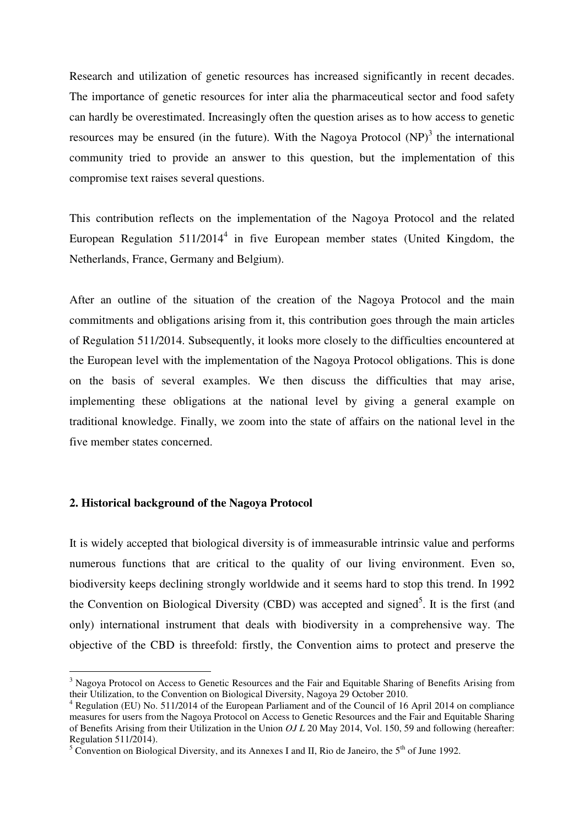Research and utilization of genetic resources has increased significantly in recent decades. The importance of genetic resources for inter alia the pharmaceutical sector and food safety can hardly be overestimated. Increasingly often the question arises as to how access to genetic resources may be ensured (in the future). With the Nagoya Protocol  $(NP)^3$  the international community tried to provide an answer to this question, but the implementation of this compromise text raises several questions.

This contribution reflects on the implementation of the Nagoya Protocol and the related European Regulation  $511/2014<sup>4</sup>$  in five European member states (United Kingdom, the Netherlands, France, Germany and Belgium).

After an outline of the situation of the creation of the Nagoya Protocol and the main commitments and obligations arising from it, this contribution goes through the main articles of Regulation 511/2014. Subsequently, it looks more closely to the difficulties encountered at the European level with the implementation of the Nagoya Protocol obligations. This is done on the basis of several examples. We then discuss the difficulties that may arise, implementing these obligations at the national level by giving a general example on traditional knowledge. Finally, we zoom into the state of affairs on the national level in the five member states concerned.

#### **2. Historical background of the Nagoya Protocol**

 $\overline{a}$ 

It is widely accepted that biological diversity is of immeasurable intrinsic value and performs numerous functions that are critical to the quality of our living environment. Even so, biodiversity keeps declining strongly worldwide and it seems hard to stop this trend. In 1992 the Convention on Biological Diversity (CBD) was accepted and signed<sup>5</sup>. It is the first (and only) international instrument that deals with biodiversity in a comprehensive way. The objective of the CBD is threefold: firstly, the Convention aims to protect and preserve the

<sup>&</sup>lt;sup>3</sup> Nagoya Protocol on Access to Genetic Resources and the Fair and Equitable Sharing of Benefits Arising from their Utilization, to the Convention on Biological Diversity, Nagoya 29 October 2010.

<sup>&</sup>lt;sup>4</sup> Regulation (EU) No. 511/2014 of the European Parliament and of the Council of 16 April 2014 on compliance measures for users from the Nagoya Protocol on Access to Genetic Resources and the Fair and Equitable Sharing of Benefits Arising from their Utilization in the Union *OJ L* 20 May 2014, Vol. 150, 59 and following (hereafter: Regulation 511/2014).

<sup>&</sup>lt;sup>5</sup> Convention on Biological Diversity, and its Annexes I and II, Rio de Janeiro, the  $5<sup>th</sup>$  of June 1992.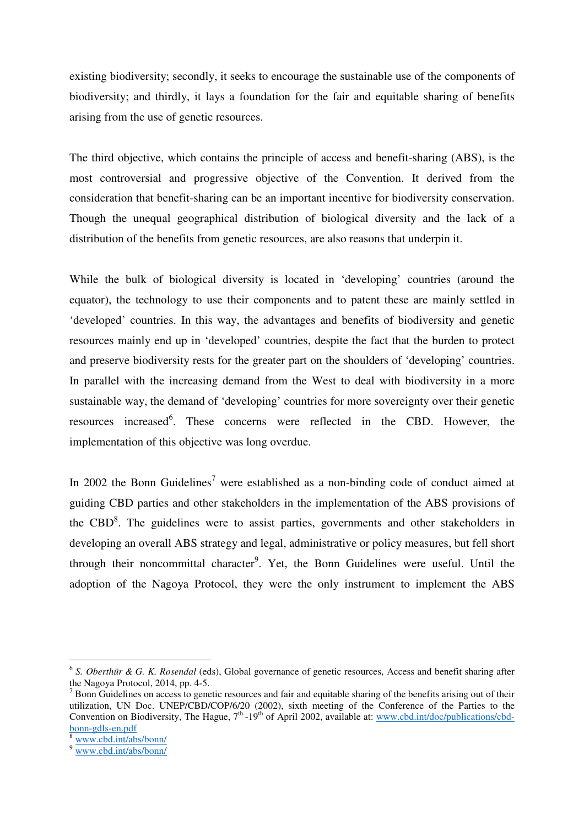existing biodiversity; secondly, it seeks to encourage the sustainable use of the components of biodiversity; and thirdly, it lays a foundation for the fair and equitable sharing of benefits arising from the use of genetic resources.

The third objective, which contains the principle of access and benefit-sharing (ABS), is the most controversial and progressive objective of the Convention. It derived from the consideration that benefit-sharing can be an important incentive for biodiversity conservation. Though the unequal geographical distribution of biological diversity and the lack of a distribution of the benefits from genetic resources, are also reasons that underpin it.

While the bulk of biological diversity is located in 'developing' countries (around the equator), the technology to use their components and to patent these are mainly settled in 'developed' countries. In this way, the advantages and benefits of biodiversity and genetic resources mainly end up in 'developed' countries, despite the fact that the burden to protect and preserve biodiversity rests for the greater part on the shoulders of 'developing' countries. In parallel with the increasing demand from the West to deal with biodiversity in a more sustainable way, the demand of 'developing' countries for more sovereignty over their genetic resources increased<sup>6</sup>. These concerns were reflected in the CBD. However, the implementation of this objective was long overdue.

In 2002 the Bonn Guidelines<sup>7</sup> were established as a non-binding code of conduct aimed at guiding CBD parties and other stakeholders in the implementation of the ABS provisions of the CBD $<sup>8</sup>$ . The guidelines were to assist parties, governments and other stakeholders in</sup> developing an overall ABS strategy and legal, administrative or policy measures, but fell short through their noncommittal character<sup>9</sup>. Yet, the Bonn Guidelines were useful. Until the adoption of the Nagoya Protocol, they were the only instrument to implement the ABS

<sup>6</sup> *S. Oberthür & G. K. Rosendal* (eds), Global governance of genetic resources, Access and benefit sharing after the Nagoya Protocol, 2014, pp. 4-5.

 $<sup>7</sup>$  Bonn Guidelines on access to genetic resources and fair and equitable sharing of the benefits arising out of their</sup> utilization, UN Doc. UNEP/CBD/COP/6/20 (2002), sixth meeting of the Conference of the Parties to the Convention on Biodiversity, The Hague, 7<sup>th</sup> -19<sup>th</sup> of April 2002, available at: www.cbd.int/doc/publications/cbdbonn-gdls-en.pdf

www.cbd.int/abs/bonn/

<sup>9</sup> www.cbd.int/abs/bonn/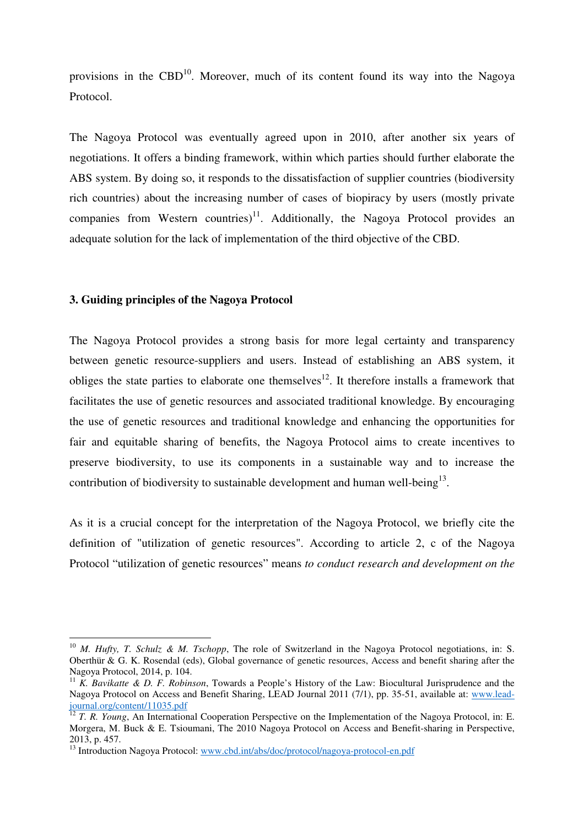provisions in the CBD<sup>10</sup>. Moreover, much of its content found its way into the Nagoya Protocol.

The Nagoya Protocol was eventually agreed upon in 2010, after another six years of negotiations. It offers a binding framework, within which parties should further elaborate the ABS system. By doing so, it responds to the dissatisfaction of supplier countries (biodiversity rich countries) about the increasing number of cases of biopiracy by users (mostly private companies from Western countries) $11$ . Additionally, the Nagoya Protocol provides an adequate solution for the lack of implementation of the third objective of the CBD.

#### **3. Guiding principles of the Nagoya Protocol**

 $\overline{a}$ 

The Nagoya Protocol provides a strong basis for more legal certainty and transparency between genetic resource-suppliers and users. Instead of establishing an ABS system, it obliges the state parties to elaborate one themselves $12$ . It therefore installs a framework that facilitates the use of genetic resources and associated traditional knowledge. By encouraging the use of genetic resources and traditional knowledge and enhancing the opportunities for fair and equitable sharing of benefits, the Nagoya Protocol aims to create incentives to preserve biodiversity, to use its components in a sustainable way and to increase the contribution of biodiversity to sustainable development and human well-being<sup>13</sup>.

As it is a crucial concept for the interpretation of the Nagoya Protocol, we briefly cite the definition of "utilization of genetic resources". According to article 2, c of the Nagoya Protocol "utilization of genetic resources" means *to conduct research and development on the* 

<sup>&</sup>lt;sup>10</sup> *M. Hufty, T. Schulz & M. Tschopp*, The role of Switzerland in the Nagoya Protocol negotiations, in: S. Oberthür & G. K. Rosendal (eds), Global governance of genetic resources, Access and benefit sharing after the Nagoya Protocol, 2014, p. 104.

<sup>11</sup> *K. Bavikatte & D. F. Robinson*, Towards a People's History of the Law: Biocultural Jurisprudence and the Nagoya Protocol on Access and Benefit Sharing, LEAD Journal 2011 (7/1), pp. 35-51, available at: www.leadjournal.org/content/11035.pdf

<sup>&</sup>lt;sup>12</sup> *T. R. Young*, An International Cooperation Perspective on the Implementation of the Nagoya Protocol, in: E. Morgera, M. Buck & E. Tsioumani, The 2010 Nagoya Protocol on Access and Benefit-sharing in Perspective, 2013, p. 457.

<sup>&</sup>lt;sup>13</sup> Introduction Nagoya Protocol: www.cbd.int/abs/doc/protocol/nagoya-protocol-en.pdf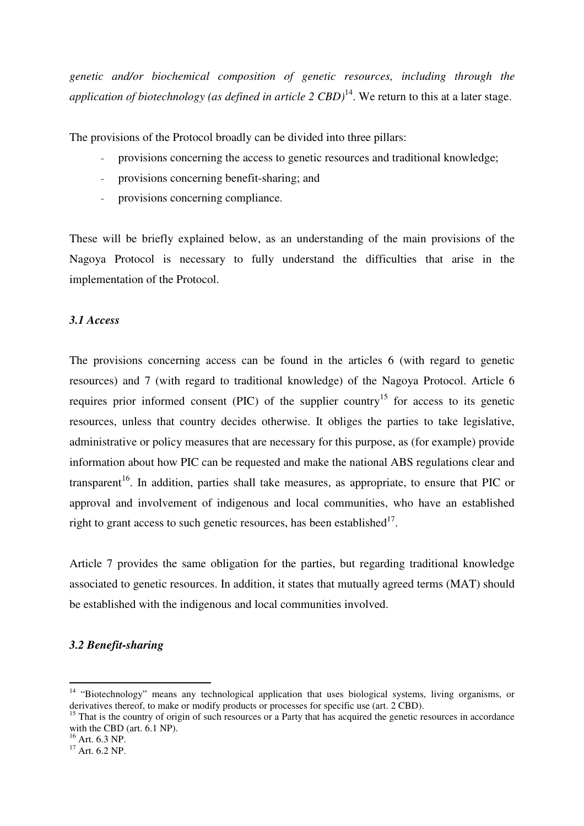*genetic and/or biochemical composition of genetic resources, including through the application of biotechnology (as defined in article 2 CBD)*<sup>14</sup>. We return to this at a later stage.

The provisions of the Protocol broadly can be divided into three pillars:

- provisions concerning the access to genetic resources and traditional knowledge;
- provisions concerning benefit-sharing; and
- provisions concerning compliance.

These will be briefly explained below, as an understanding of the main provisions of the Nagoya Protocol is necessary to fully understand the difficulties that arise in the implementation of the Protocol.

# *3.1 Access*

The provisions concerning access can be found in the articles 6 (with regard to genetic resources) and 7 (with regard to traditional knowledge) of the Nagoya Protocol. Article 6 requires prior informed consent (PIC) of the supplier country<sup>15</sup> for access to its genetic resources, unless that country decides otherwise. It obliges the parties to take legislative, administrative or policy measures that are necessary for this purpose, as (for example) provide information about how PIC can be requested and make the national ABS regulations clear and transparent<sup>16</sup>. In addition, parties shall take measures, as appropriate, to ensure that PIC or approval and involvement of indigenous and local communities, who have an established right to grant access to such genetic resources, has been established $17$ .

Article 7 provides the same obligation for the parties, but regarding traditional knowledge associated to genetic resources. In addition, it states that mutually agreed terms (MAT) should be established with the indigenous and local communities involved.

# *3.2 Benefit-sharing*

<sup>&</sup>lt;sup>14</sup> "Biotechnology" means any technological application that uses biological systems, living organisms, or derivatives thereof, to make or modify products or processes for specific use (art. 2 CBD).

<sup>&</sup>lt;sup>15</sup> That is the country of origin of such resources or a Party that has acquired the genetic resources in accordance with the CBD (art. 6.1 NP).

 $^{16}$  Art. 6.3 NP.

 $17$  Art. 6.2 NP.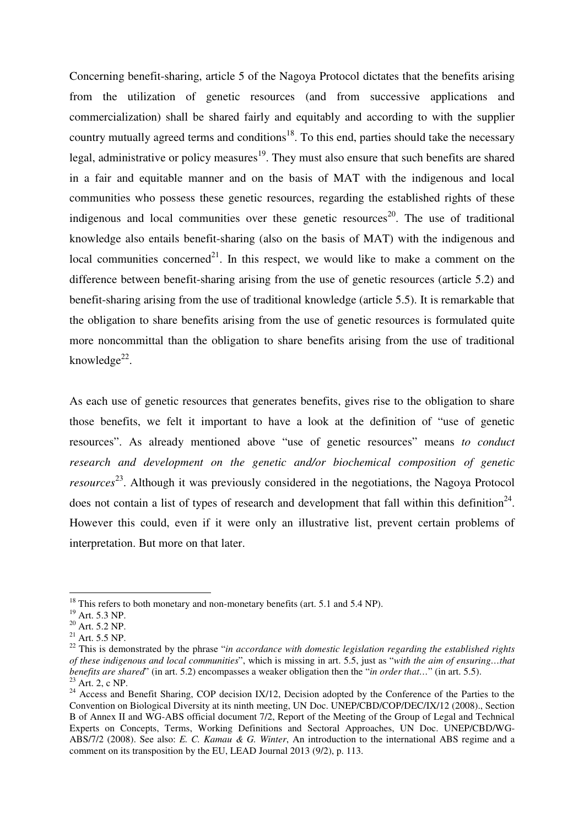Concerning benefit-sharing, article 5 of the Nagoya Protocol dictates that the benefits arising from the utilization of genetic resources (and from successive applications and commercialization) shall be shared fairly and equitably and according to with the supplier country mutually agreed terms and conditions<sup>18</sup>. To this end, parties should take the necessary legal, administrative or policy measures<sup>19</sup>. They must also ensure that such benefits are shared in a fair and equitable manner and on the basis of MAT with the indigenous and local communities who possess these genetic resources, regarding the established rights of these indigenous and local communities over these genetic resources<sup>20</sup>. The use of traditional knowledge also entails benefit-sharing (also on the basis of MAT) with the indigenous and local communities concerned<sup>21</sup>. In this respect, we would like to make a comment on the difference between benefit-sharing arising from the use of genetic resources (article 5.2) and benefit-sharing arising from the use of traditional knowledge (article 5.5). It is remarkable that the obligation to share benefits arising from the use of genetic resources is formulated quite more noncommittal than the obligation to share benefits arising from the use of traditional knowledge<sup>22</sup>.

As each use of genetic resources that generates benefits, gives rise to the obligation to share those benefits, we felt it important to have a look at the definition of "use of genetic resources". As already mentioned above "use of genetic resources" means *to conduct research and development on the genetic and/or biochemical composition of genetic resources* <sup>23</sup>. Although it was previously considered in the negotiations, the Nagoya Protocol does not contain a list of types of research and development that fall within this definition<sup>24</sup>. However this could, even if it were only an illustrative list, prevent certain problems of interpretation. But more on that later.

<sup>&</sup>lt;sup>18</sup> This refers to both monetary and non-monetary benefits (art. 5.1 and 5.4 NP).

<sup>19</sup> Art. 5.3 NP.

 $20$  Art. 5.2 NP.

 $^{21}$  Art. 5.5 NP.

<sup>&</sup>lt;sup>22</sup> This is demonstrated by the phrase "*in accordance with domestic legislation regarding the established rights of these indigenous and local communities*", which is missing in art. 5.5, just as "*with the aim of ensuring…that benefits are shared*" (in art. 5.2) encompasses a weaker obligation then the "*in order that…*" (in art. 5.5).  $23$  Art. 2, c NP.

<sup>&</sup>lt;sup>24</sup> Access and Benefit Sharing, COP decision IX/12, Decision adopted by the Conference of the Parties to the Convention on Biological Diversity at its ninth meeting, UN Doc. UNEP/CBD/COP/DEC/IX/12 (2008)., Section B of Annex II and WG-ABS official document 7/2, Report of the Meeting of the Group of Legal and Technical Experts on Concepts, Terms, Working Definitions and Sectoral Approaches, UN Doc. UNEP/CBD/WG-ABS/7/2 (2008). See also: *E. C. Kamau & G. Winter*, An introduction to the international ABS regime and a comment on its transposition by the EU, LEAD Journal 2013 (9/2), p. 113.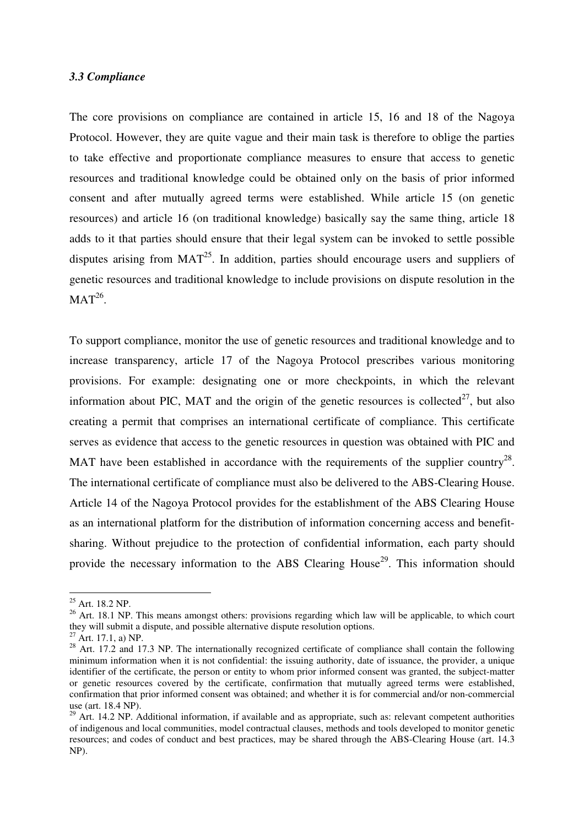## *3.3 Compliance*

The core provisions on compliance are contained in article 15, 16 and 18 of the Nagoya Protocol. However, they are quite vague and their main task is therefore to oblige the parties to take effective and proportionate compliance measures to ensure that access to genetic resources and traditional knowledge could be obtained only on the basis of prior informed consent and after mutually agreed terms were established. While article 15 (on genetic resources) and article 16 (on traditional knowledge) basically say the same thing, article 18 adds to it that parties should ensure that their legal system can be invoked to settle possible disputes arising from  $MAT^{25}$ . In addition, parties should encourage users and suppliers of genetic resources and traditional knowledge to include provisions on dispute resolution in the  $MAT^{26}$ .

To support compliance, monitor the use of genetic resources and traditional knowledge and to increase transparency, article 17 of the Nagoya Protocol prescribes various monitoring provisions. For example: designating one or more checkpoints, in which the relevant information about PIC, MAT and the origin of the genetic resources is collected<sup>27</sup>, but also creating a permit that comprises an international certificate of compliance. This certificate serves as evidence that access to the genetic resources in question was obtained with PIC and MAT have been established in accordance with the requirements of the supplier country<sup>28</sup>. The international certificate of compliance must also be delivered to the ABS-Clearing House. Article 14 of the Nagoya Protocol provides for the establishment of the ABS Clearing House as an international platform for the distribution of information concerning access and benefitsharing. Without prejudice to the protection of confidential information, each party should provide the necessary information to the ABS Clearing House<sup>29</sup>. This information should

<sup>25</sup> Art. 18.2 NP.

<sup>&</sup>lt;sup>26</sup> Art. 18.1 NP. This means amongst others: provisions regarding which law will be applicable, to which court they will submit a dispute, and possible alternative dispute resolution options.

 $27$  Art. 17.1, a) NP.

<sup>&</sup>lt;sup>28</sup> Art. 17.2 and 17.3 NP. The internationally recognized certificate of compliance shall contain the following minimum information when it is not confidential: the issuing authority, date of issuance, the provider, a unique identifier of the certificate, the person or entity to whom prior informed consent was granted, the subject-matter or genetic resources covered by the certificate, confirmation that mutually agreed terms were established, confirmation that prior informed consent was obtained; and whether it is for commercial and/or non-commercial use (art. 18.4 NP).

 $^{29}$  Art. 14.2 NP. Additional information, if available and as appropriate, such as: relevant competent authorities of indigenous and local communities, model contractual clauses, methods and tools developed to monitor genetic resources; and codes of conduct and best practices, may be shared through the ABS-Clearing House (art. 14.3 NP).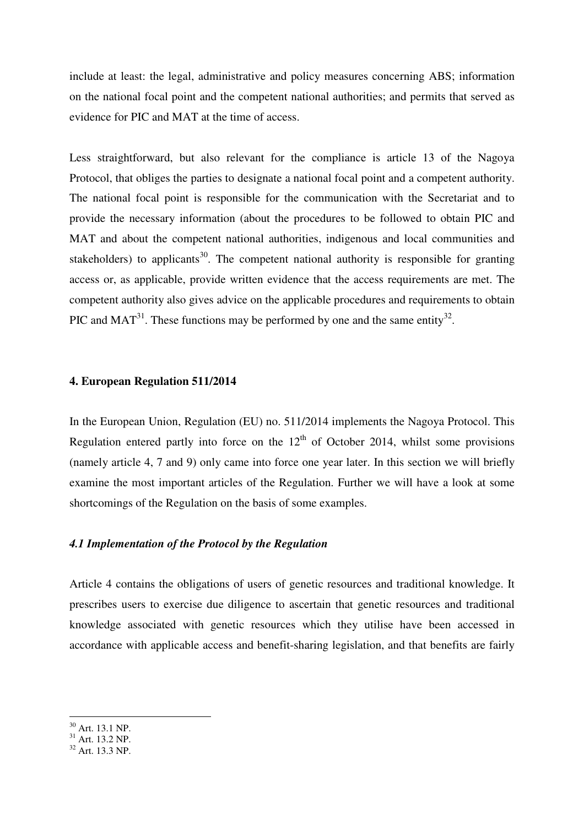include at least: the legal, administrative and policy measures concerning ABS; information on the national focal point and the competent national authorities; and permits that served as evidence for PIC and MAT at the time of access.

Less straightforward, but also relevant for the compliance is article 13 of the Nagoya Protocol, that obliges the parties to designate a national focal point and a competent authority. The national focal point is responsible for the communication with the Secretariat and to provide the necessary information (about the procedures to be followed to obtain PIC and MAT and about the competent national authorities, indigenous and local communities and stakeholders) to applicants<sup>30</sup>. The competent national authority is responsible for granting access or, as applicable, provide written evidence that the access requirements are met. The competent authority also gives advice on the applicable procedures and requirements to obtain PIC and MAT<sup>31</sup>. These functions may be performed by one and the same entity<sup>32</sup>.

#### **4. European Regulation 511/2014**

In the European Union, Regulation (EU) no. 511/2014 implements the Nagoya Protocol. This Regulation entered partly into force on the  $12<sup>th</sup>$  of October 2014, whilst some provisions (namely article 4, 7 and 9) only came into force one year later. In this section we will briefly examine the most important articles of the Regulation. Further we will have a look at some shortcomings of the Regulation on the basis of some examples.

### *4.1 Implementation of the Protocol by the Regulation*

Article 4 contains the obligations of users of genetic resources and traditional knowledge. It prescribes users to exercise due diligence to ascertain that genetic resources and traditional knowledge associated with genetic resources which they utilise have been accessed in accordance with applicable access and benefit-sharing legislation, and that benefits are fairly

 $30$  Art. 13.1 NP.

 $31$  Art. 13.2 NP.

 $32$  Art. 13.3 NP.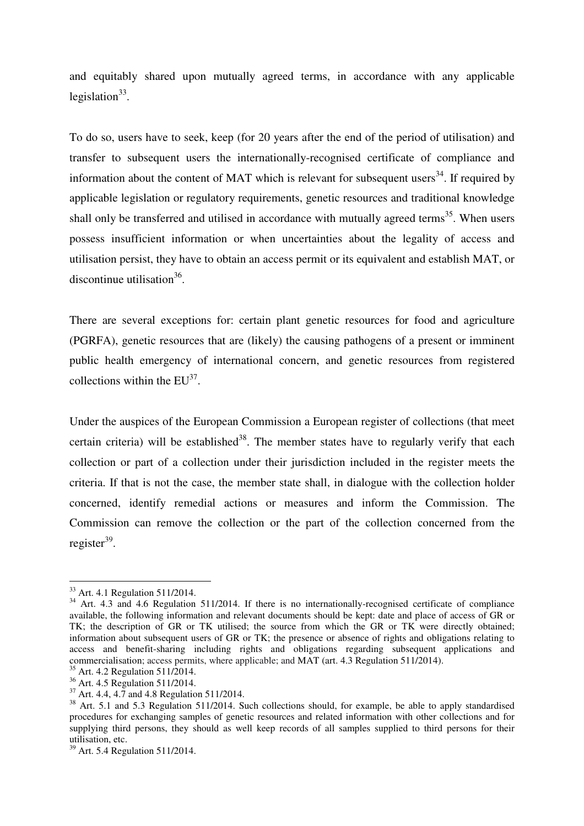and equitably shared upon mutually agreed terms, in accordance with any applicable legislation $33$ .

To do so, users have to seek, keep (for 20 years after the end of the period of utilisation) and transfer to subsequent users the internationally-recognised certificate of compliance and information about the content of MAT which is relevant for subsequent users<sup>34</sup>. If required by applicable legislation or regulatory requirements, genetic resources and traditional knowledge shall only be transferred and utilised in accordance with mutually agreed terms<sup>35</sup>. When users possess insufficient information or when uncertainties about the legality of access and utilisation persist, they have to obtain an access permit or its equivalent and establish MAT, or discontinue utilisation<sup>36</sup>.

There are several exceptions for: certain plant genetic resources for food and agriculture (PGRFA), genetic resources that are (likely) the causing pathogens of a present or imminent public health emergency of international concern, and genetic resources from registered collections within the  $EU^{37}$ .

Under the auspices of the European Commission a European register of collections (that meet certain criteria) will be established<sup>38</sup>. The member states have to regularly verify that each collection or part of a collection under their jurisdiction included in the register meets the criteria. If that is not the case, the member state shall, in dialogue with the collection holder concerned, identify remedial actions or measures and inform the Commission. The Commission can remove the collection or the part of the collection concerned from the register<sup>39</sup>.

<sup>33</sup> Art. 4.1 Regulation 511/2014.

<sup>&</sup>lt;sup>34</sup> Art. 4.3 and 4.6 Regulation 511/2014. If there is no internationally-recognised certificate of compliance available, the following information and relevant documents should be kept: date and place of access of GR or TK; the description of GR or TK utilised; the source from which the GR or TK were directly obtained; information about subsequent users of GR or TK; the presence or absence of rights and obligations relating to access and benefit-sharing including rights and obligations regarding subsequent applications and commercialisation; access permits, where applicable; and MAT (art. 4.3 Regulation 511/2014).

<sup>35</sup> Art. 4.2 Regulation 511/2014.

<sup>&</sup>lt;sup>36</sup> Art. 4.5 Regulation 511/2014.

 $37$  Art. 4.4, 4.7 and 4.8 Regulation 511/2014.

<sup>&</sup>lt;sup>38</sup> Art. 5.1 and 5.3 Regulation 511/2014. Such collections should, for example, be able to apply standardised procedures for exchanging samples of genetic resources and related information with other collections and for supplying third persons, they should as well keep records of all samples supplied to third persons for their utilisation, etc.

<sup>39</sup> Art. 5.4 Regulation 511/2014.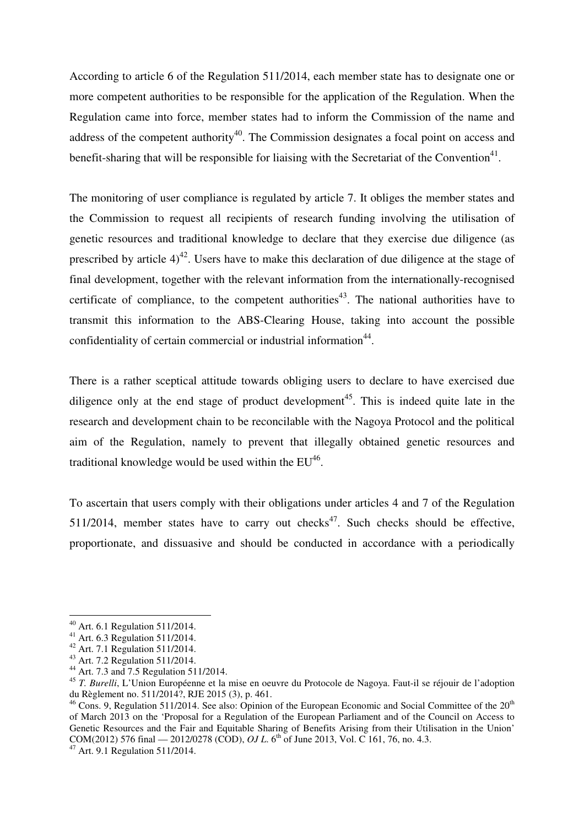According to article 6 of the Regulation 511/2014, each member state has to designate one or more competent authorities to be responsible for the application of the Regulation. When the Regulation came into force, member states had to inform the Commission of the name and address of the competent authority<sup>40</sup>. The Commission designates a focal point on access and benefit-sharing that will be responsible for liaising with the Secretariat of the Convention<sup>41</sup>.

The monitoring of user compliance is regulated by article 7. It obliges the member states and the Commission to request all recipients of research funding involving the utilisation of genetic resources and traditional knowledge to declare that they exercise due diligence (as prescribed by article  $4)^{42}$ . Users have to make this declaration of due diligence at the stage of final development, together with the relevant information from the internationally-recognised certificate of compliance, to the competent authorities<sup>43</sup>. The national authorities have to transmit this information to the ABS-Clearing House, taking into account the possible confidentiality of certain commercial or industrial information $44$ .

There is a rather sceptical attitude towards obliging users to declare to have exercised due diligence only at the end stage of product development<sup>45</sup>. This is indeed quite late in the research and development chain to be reconcilable with the Nagoya Protocol and the political aim of the Regulation, namely to prevent that illegally obtained genetic resources and traditional knowledge would be used within the  $EU^{46}$ .

To ascertain that users comply with their obligations under articles 4 and 7 of the Regulation 511/2014, member states have to carry out checks<sup>47</sup>. Such checks should be effective, proportionate, and dissuasive and should be conducted in accordance with a periodically

<sup>40</sup> Art. 6.1 Regulation 511/2014.

<sup>41</sup> Art. 6.3 Regulation 511/2014.

<sup>42</sup> Art. 7.1 Regulation 511/2014.

<sup>43</sup> Art. 7.2 Regulation 511/2014.

<sup>&</sup>lt;sup>44</sup> Art. 7.3 and 7.5 Regulation 511/2014.

<sup>45</sup> *T. Burelli*, L'Union Européenne et la mise en oeuvre du Protocole de Nagoya. Faut-il se réjouir de l'adoption du Règlement no. 511/2014?, RJE 2015 (3), p. 461.

 $46$  Cons. 9, Regulation 511/2014. See also: Opinion of the European Economic and Social Committee of the  $20<sup>th</sup>$ of March 2013 on the 'Proposal for a Regulation of the European Parliament and of the Council on Access to Genetic Resources and the Fair and Equitable Sharing of Benefits Arising from their Utilisation in the Union' COM(2012) 576 final — 2012/0278 (COD), *OJ L*. 6<sup>th</sup> of June 2013, Vol. C 161, 76, no. 4.3.

<sup>47</sup> Art. 9.1 Regulation 511/2014.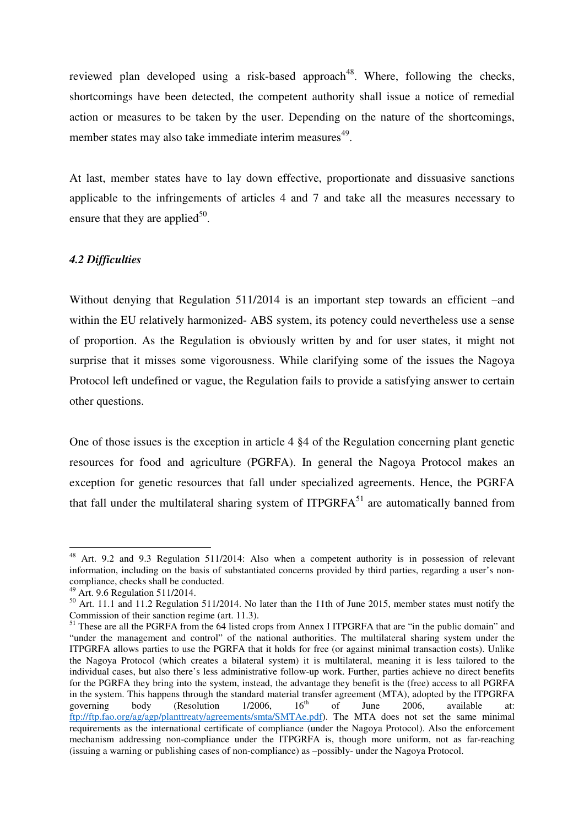reviewed plan developed using a risk-based approach<sup>48</sup>. Where, following the checks, shortcomings have been detected, the competent authority shall issue a notice of remedial action or measures to be taken by the user. Depending on the nature of the shortcomings, member states may also take immediate interim measures<sup>49</sup>.

At last, member states have to lay down effective, proportionate and dissuasive sanctions applicable to the infringements of articles 4 and 7 and take all the measures necessary to ensure that they are applied<sup>50</sup>.

#### *4.2 Difficulties*

Without denying that Regulation 511/2014 is an important step towards an efficient –and within the EU relatively harmonized- ABS system, its potency could nevertheless use a sense of proportion. As the Regulation is obviously written by and for user states, it might not surprise that it misses some vigorousness. While clarifying some of the issues the Nagoya Protocol left undefined or vague, the Regulation fails to provide a satisfying answer to certain other questions.

One of those issues is the exception in article 4 §4 of the Regulation concerning plant genetic resources for food and agriculture (PGRFA). In general the Nagoya Protocol makes an exception for genetic resources that fall under specialized agreements. Hence, the PGRFA that fall under the multilateral sharing system of ITPGRFA $^{51}$  are automatically banned from

<sup>&</sup>lt;sup>48</sup> Art. 9.2 and 9.3 Regulation 511/2014: Also when a competent authority is in possession of relevant information, including on the basis of substantiated concerns provided by third parties, regarding a user's noncompliance, checks shall be conducted.

 $49$  Art. 9.6 Regulation 511/2014.

<sup>&</sup>lt;sup>50</sup> Art. 11.1 and 11.2 Regulation 511/2014. No later than the 11th of June 2015, member states must notify the Commission of their sanction regime (art. 11.3).

<sup>&</sup>lt;sup>51</sup> These are all the PGRFA from the 64 listed crops from Annex I ITPGRFA that are "in the public domain" and "under the management and control" of the national authorities. The multilateral sharing system under the ITPGRFA allows parties to use the PGRFA that it holds for free (or against minimal transaction costs). Unlike the Nagoya Protocol (which creates a bilateral system) it is multilateral, meaning it is less tailored to the individual cases, but also there's less administrative follow-up work. Further, parties achieve no direct benefits for the PGRFA they bring into the system, instead, the advantage they benefit is the (free) access to all PGRFA in the system. This happens through the standard material transfer agreement (MTA), adopted by the ITPGRFA governing body (Resolution  $1/2006$ ,  $16<sup>th</sup>$  of June 2006, available at: governing body (Resolution  $1/2006$ ,  $16<sup>th</sup>$  of June 2006, available at: ftp://ftp.fao.org/ag/agp/planttreaty/agreements/smta/SMTAe.pdf). The MTA does not set the same minimal requirements as the international certificate of compliance (under the Nagoya Protocol). Also the enforcement mechanism addressing non-compliance under the ITPGRFA is, though more uniform, not as far-reaching (issuing a warning or publishing cases of non-compliance) as –possibly- under the Nagoya Protocol.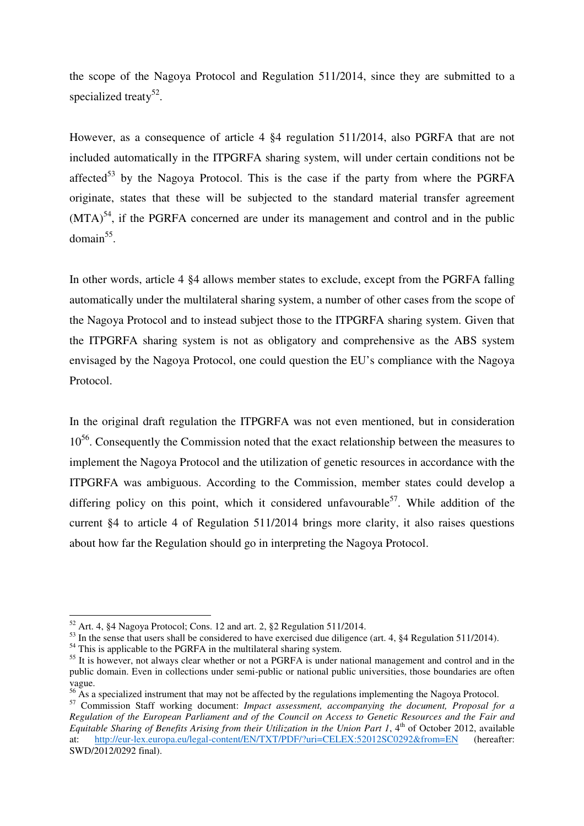the scope of the Nagoya Protocol and Regulation 511/2014, since they are submitted to a specialized treaty<sup>52</sup>.

However, as a consequence of article 4 §4 regulation 511/2014, also PGRFA that are not included automatically in the ITPGRFA sharing system, will under certain conditions not be affected<sup>53</sup> by the Nagoya Protocol. This is the case if the party from where the PGRFA originate, states that these will be subjected to the standard material transfer agreement  $(MTA)^{54}$ , if the PGRFA concerned are under its management and control and in the public  $domain<sup>55</sup>$ .

In other words, article 4 §4 allows member states to exclude, except from the PGRFA falling automatically under the multilateral sharing system, a number of other cases from the scope of the Nagoya Protocol and to instead subject those to the ITPGRFA sharing system. Given that the ITPGRFA sharing system is not as obligatory and comprehensive as the ABS system envisaged by the Nagoya Protocol, one could question the EU's compliance with the Nagoya Protocol.

In the original draft regulation the ITPGRFA was not even mentioned, but in consideration  $10<sup>56</sup>$ . Consequently the Commission noted that the exact relationship between the measures to implement the Nagoya Protocol and the utilization of genetic resources in accordance with the ITPGRFA was ambiguous. According to the Commission, member states could develop a differing policy on this point, which it considered unfavourable<sup>57</sup>. While addition of the current §4 to article 4 of Regulation 511/2014 brings more clarity, it also raises questions about how far the Regulation should go in interpreting the Nagoya Protocol.

 $52$  Art. 4, §4 Nagoya Protocol; Cons. 12 and art. 2, §2 Regulation 511/2014.

<sup>&</sup>lt;sup>53</sup> In the sense that users shall be considered to have exercised due diligence (art. 4, §4 Regulation 511/2014).

<sup>&</sup>lt;sup>54</sup> This is applicable to the PGRFA in the multilateral sharing system.

<sup>&</sup>lt;sup>55</sup> It is however, not always clear whether or not a PGRFA is under national management and control and in the public domain. Even in collections under semi-public or national public universities, those boundaries are often vague.

 $56$  As a specialized instrument that may not be affected by the regulations implementing the Nagoya Protocol.

<sup>57</sup> Commission Staff working document: *Impact assessment, accompanying the document, Proposal for a Regulation of the European Parliament and of the Council on Access to Genetic Resources and the Fair and Equitable Sharing of Benefits Arising from their Utilization in the Union Part 1,* 4<sup>th</sup> of October 2012, available at: http://eur-lex.europa.eu/legal-content/EN/TXT/PDF/?uri=CELEX:52012SC0292&from=EN (hereafter: SWD/2012/0292 final).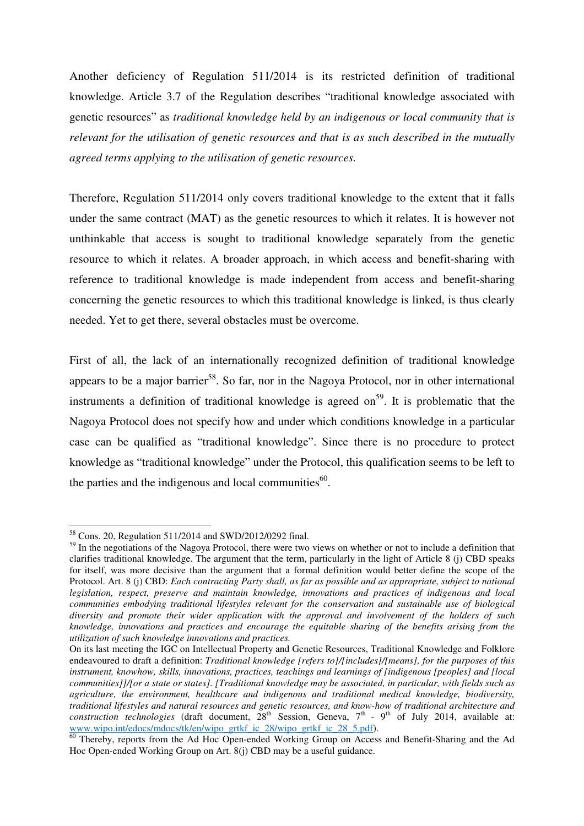Another deficiency of Regulation 511/2014 is its restricted definition of traditional knowledge. Article 3.7 of the Regulation describes "traditional knowledge associated with genetic resources" as *traditional knowledge held by an indigenous or local community that is relevant for the utilisation of genetic resources and that is as such described in the mutually agreed terms applying to the utilisation of genetic resources.*

Therefore, Regulation 511/2014 only covers traditional knowledge to the extent that it falls under the same contract (MAT) as the genetic resources to which it relates. It is however not unthinkable that access is sought to traditional knowledge separately from the genetic resource to which it relates. A broader approach, in which access and benefit-sharing with reference to traditional knowledge is made independent from access and benefit-sharing concerning the genetic resources to which this traditional knowledge is linked, is thus clearly needed. Yet to get there, several obstacles must be overcome.

First of all, the lack of an internationally recognized definition of traditional knowledge appears to be a major barrier<sup>58</sup>. So far, nor in the Nagoya Protocol, nor in other international instruments a definition of traditional knowledge is agreed on<sup>59</sup>. It is problematic that the Nagoya Protocol does not specify how and under which conditions knowledge in a particular case can be qualified as "traditional knowledge". Since there is no procedure to protect knowledge as "traditional knowledge" under the Protocol, this qualification seems to be left to the parties and the indigenous and local communities<sup>60</sup>.

<sup>58</sup> Cons. 20, Regulation 511/2014 and SWD/2012/0292 final.

<sup>&</sup>lt;sup>59</sup> In the negotiations of the Nagoya Protocol, there were two views on whether or not to include a definition that clarifies traditional knowledge. The argument that the term, particularly in the light of Article 8 (j) CBD speaks for itself, was more decisive than the argument that a formal definition would better define the scope of the Protocol. Art. 8 (j) CBD: *Each contracting Party shall, as far as possible and as appropriate, subject to national legislation, respect, preserve and maintain knowledge, innovations and practices of indigenous and local communities embodying traditional lifestyles relevant for the conservation and sustainable use of biological diversity and promote their wider application with the approval and involvement of the holders of such knowledge, innovations and practices and encourage the equitable sharing of the benefits arising from the utilization of such knowledge innovations and practices.* 

On its last meeting the IGC on Intellectual Property and Genetic Resources, Traditional Knowledge and Folklore endeavoured to draft a definition: *Traditional knowledge [refers to]/[includes]/[means], for the purposes of this instrument, knowhow, skills, innovations, practices, teachings and learnings of [indigenous [peoples] and [local communities]]/[or a state or states]. [Traditional knowledge may be associated, in particular, with fields such as agriculture, the environment, healthcare and indigenous and traditional medical knowledge, biodiversity, traditional lifestyles and natural resources and genetic resources, and know-how of traditional architecture and construction technologies* (draft document, 28<sup>th</sup> Session, Geneva, 7<sup>th</sup> - 9<sup>th</sup> of July 2014, available at: www.wipo.int/edocs/mdocs/tk/en/wipo\_grtkf\_ic\_28/wipo\_grtkf\_ic\_28\_5.pdf).

<sup>&</sup>lt;sup>60</sup> Thereby, reports from the Ad Hoc Open-ended Working Group on Access and Benefit-Sharing and the Ad Hoc Open-ended Working Group on Art. 8(j) CBD may be a useful guidance.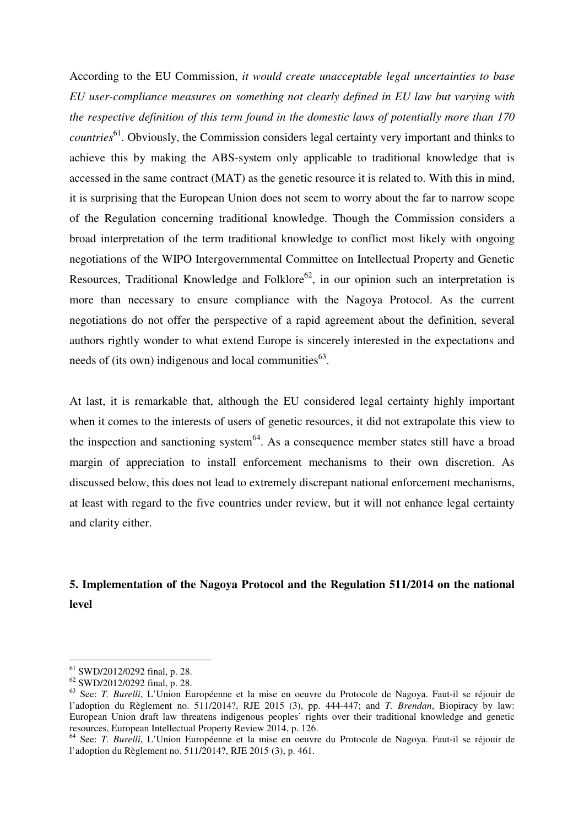According to the EU Commission, *it would create unacceptable legal uncertainties to base EU user-compliance measures on something not clearly defined in EU law but varying with the respective definition of this term found in the domestic laws of potentially more than 170 countries*<sup>61</sup>. Obviously, the Commission considers legal certainty very important and thinks to achieve this by making the ABS-system only applicable to traditional knowledge that is accessed in the same contract (MAT) as the genetic resource it is related to. With this in mind, it is surprising that the European Union does not seem to worry about the far to narrow scope of the Regulation concerning traditional knowledge. Though the Commission considers a broad interpretation of the term traditional knowledge to conflict most likely with ongoing negotiations of the WIPO Intergovernmental Committee on Intellectual Property and Genetic Resources, Traditional Knowledge and Folklore<sup>62</sup>, in our opinion such an interpretation is more than necessary to ensure compliance with the Nagoya Protocol. As the current negotiations do not offer the perspective of a rapid agreement about the definition, several authors rightly wonder to what extend Europe is sincerely interested in the expectations and needs of (its own) indigenous and local communities $^{63}$ .

At last, it is remarkable that, although the EU considered legal certainty highly important when it comes to the interests of users of genetic resources, it did not extrapolate this view to the inspection and sanctioning system<sup>64</sup>. As a consequence member states still have a broad margin of appreciation to install enforcement mechanisms to their own discretion. As discussed below, this does not lead to extremely discrepant national enforcement mechanisms, at least with regard to the five countries under review, but it will not enhance legal certainty and clarity either.

# **5. Implementation of the Nagoya Protocol and the Regulation 511/2014 on the national level**

<sup>61</sup> SWD/2012/0292 final, p. 28.

<sup>62</sup> SWD/2012/0292 final, p. 28.

<sup>63</sup> See: *T. Burelli*, L'Union Européenne et la mise en oeuvre du Protocole de Nagoya. Faut-il se réjouir de l'adoption du Règlement no. 511/2014?, RJE 2015 (3), pp. 444-447; and *T. Brendan*, Biopiracy by law: European Union draft law threatens indigenous peoples' rights over their traditional knowledge and genetic resources, European Intellectual Property Review 2014, p. 126.

<sup>64</sup> See: *T. Burelli*, L'Union Européenne et la mise en oeuvre du Protocole de Nagoya. Faut-il se réjouir de l'adoption du Règlement no. 511/2014?, RJE 2015 (3), p. 461.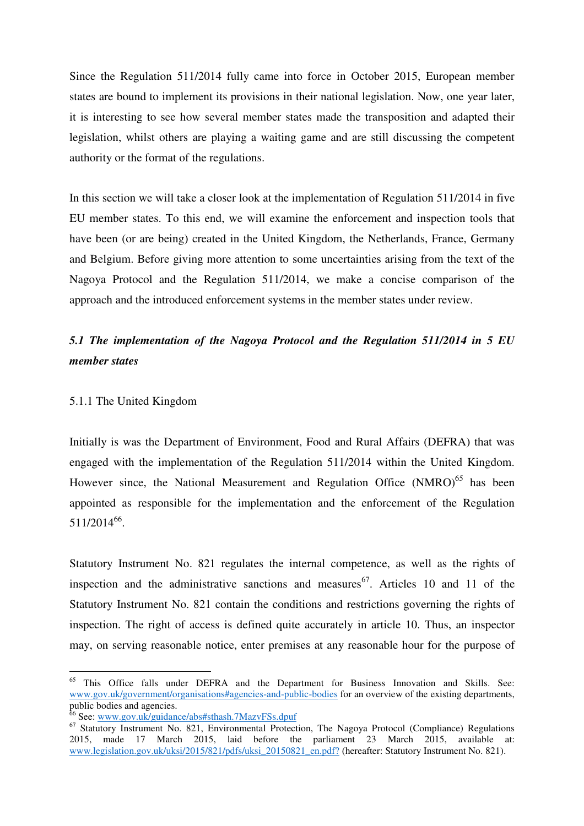Since the Regulation 511/2014 fully came into force in October 2015, European member states are bound to implement its provisions in their national legislation. Now, one year later, it is interesting to see how several member states made the transposition and adapted their legislation, whilst others are playing a waiting game and are still discussing the competent authority or the format of the regulations.

In this section we will take a closer look at the implementation of Regulation 511/2014 in five EU member states. To this end, we will examine the enforcement and inspection tools that have been (or are being) created in the United Kingdom, the Netherlands, France, Germany and Belgium. Before giving more attention to some uncertainties arising from the text of the Nagoya Protocol and the Regulation 511/2014, we make a concise comparison of the approach and the introduced enforcement systems in the member states under review.

# *5.1 The implementation of the Nagoya Protocol and the Regulation 511/2014 in 5 EU member states*

#### 5.1.1 The United Kingdom

 $\overline{a}$ 

Initially is was the Department of Environment, Food and Rural Affairs (DEFRA) that was engaged with the implementation of the Regulation 511/2014 within the United Kingdom. However since, the National Measurement and Regulation Office (NMRO)<sup>65</sup> has been appointed as responsible for the implementation and the enforcement of the Regulation 511/2014<sup>66</sup>.

Statutory Instrument No. 821 regulates the internal competence, as well as the rights of inspection and the administrative sanctions and measures <sup>67</sup>. Articles 10 and 11 of the Statutory Instrument No. 821 contain the conditions and restrictions governing the rights of inspection. The right of access is defined quite accurately in article 10. Thus, an inspector may, on serving reasonable notice, enter premises at any reasonable hour for the purpose of

<sup>&</sup>lt;sup>65</sup> This Office falls under DEFRA and the Department for Business Innovation and Skills. See: www.gov.uk/government/organisations#agencies-and-public-bodies for an overview of the existing departments, public bodies and agencies.

<sup>&</sup>lt;sup>5</sup> See: www.gov.uk/guidance/abs#sthash.7MazvFSs.dpuf

<sup>&</sup>lt;sup>67</sup> Statutory Instrument No. 821, Environmental Protection, The Nagoya Protocol (Compliance) Regulations 2015, made 17 March 2015, laid before the parliament 23 March 2015, available at: www.legislation.gov.uk/uksi/2015/821/pdfs/uksi\_20150821\_en.pdf? (hereafter: Statutory Instrument No. 821).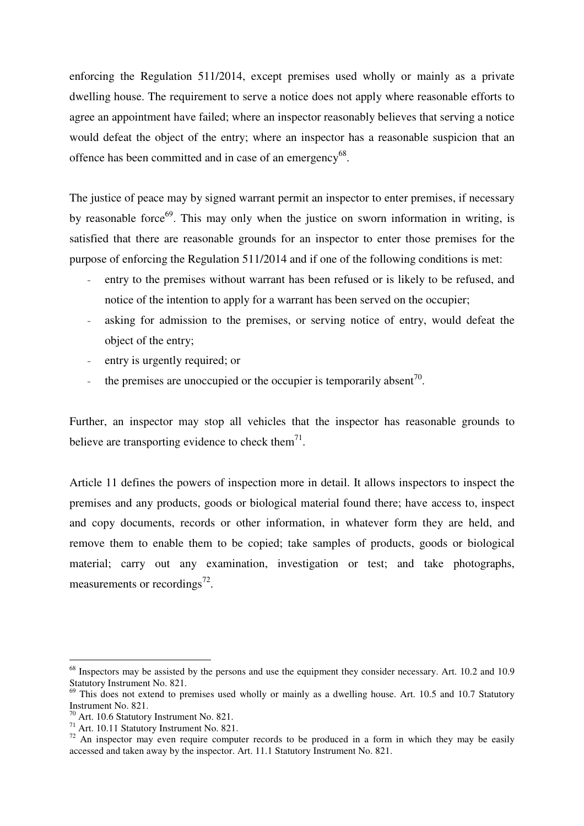enforcing the Regulation 511/2014, except premises used wholly or mainly as a private dwelling house. The requirement to serve a notice does not apply where reasonable efforts to agree an appointment have failed; where an inspector reasonably believes that serving a notice would defeat the object of the entry; where an inspector has a reasonable suspicion that an offence has been committed and in case of an emergency<sup>68</sup>.

The justice of peace may by signed warrant permit an inspector to enter premises, if necessary by reasonable force $^{69}$ . This may only when the justice on sworn information in writing, is satisfied that there are reasonable grounds for an inspector to enter those premises for the purpose of enforcing the Regulation 511/2014 and if one of the following conditions is met:

- entry to the premises without warrant has been refused or is likely to be refused, and notice of the intention to apply for a warrant has been served on the occupier;
- asking for admission to the premises, or serving notice of entry, would defeat the object of the entry;
- entry is urgently required; or
- the premises are unoccupied or the occupier is temporarily absent<sup>70</sup>.

Further, an inspector may stop all vehicles that the inspector has reasonable grounds to believe are transporting evidence to check them $^{71}$ .

Article 11 defines the powers of inspection more in detail. It allows inspectors to inspect the premises and any products, goods or biological material found there; have access to, inspect and copy documents, records or other information, in whatever form they are held, and remove them to enable them to be copied; take samples of products, goods or biological material; carry out any examination, investigation or test; and take photographs, measurements or recordings<sup>72</sup>.

<sup>&</sup>lt;sup>68</sup> Inspectors may be assisted by the persons and use the equipment they consider necessary. Art. 10.2 and 10.9 Statutory Instrument No. 821.

 $^{69}$  This does not extend to premises used wholly or mainly as a dwelling house. Art. 10.5 and 10.7 Statutory Instrument No. 821.

<sup>&</sup>lt;sup>70</sup> Art. 10.6 Statutory Instrument No. 821.

<sup>&</sup>lt;sup>71</sup> Art. 10.11 Statutory Instrument No. 821.

 $72$  An inspector may even require computer records to be produced in a form in which they may be easily accessed and taken away by the inspector. Art. 11.1 Statutory Instrument No. 821.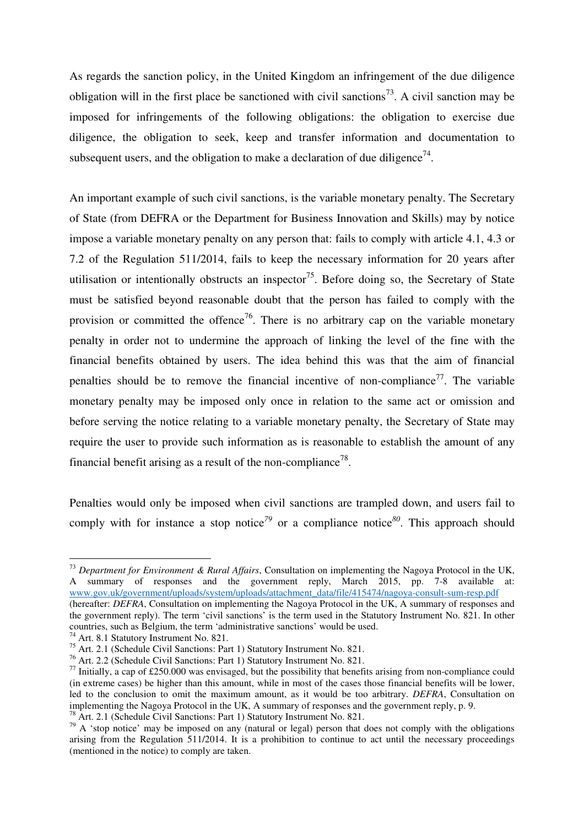As regards the sanction policy, in the United Kingdom an infringement of the due diligence obligation will in the first place be sanctioned with civil sanctions<sup>73</sup>. A civil sanction may be imposed for infringements of the following obligations: the obligation to exercise due diligence, the obligation to seek, keep and transfer information and documentation to subsequent users, and the obligation to make a declaration of due diligence<sup>74</sup>.

An important example of such civil sanctions, is the variable monetary penalty. The Secretary of State (from DEFRA or the Department for Business Innovation and Skills) may by notice impose a variable monetary penalty on any person that: fails to comply with article 4.1, 4.3 or 7.2 of the Regulation 511/2014, fails to keep the necessary information for 20 years after utilisation or intentionally obstructs an inspector<sup>75</sup>. Before doing so, the Secretary of State must be satisfied beyond reasonable doubt that the person has failed to comply with the provision or committed the offence<sup>76</sup>. There is no arbitrary cap on the variable monetary penalty in order not to undermine the approach of linking the level of the fine with the financial benefits obtained by users. The idea behind this was that the aim of financial penalties should be to remove the financial incentive of non-compliance<sup>77</sup>. The variable monetary penalty may be imposed only once in relation to the same act or omission and before serving the notice relating to a variable monetary penalty, the Secretary of State may require the user to provide such information as is reasonable to establish the amount of any financial benefit arising as a result of the non-compliance<sup>78</sup>.

Penalties would only be imposed when civil sanctions are trampled down, and users fail to comply with for instance a stop notice<sup>79</sup> or a compliance notice<sup>80</sup>. This approach should

<sup>73</sup> *Department for Environment & Rural Affairs*, Consultation on implementing the Nagoya Protocol in the UK, A summary of responses and the government reply, March 2015, pp. 7-8 available at: www.gov.uk/government/uploads/system/uploads/attachment\_data/file/415474/nagoya-consult-sum-resp.pdf

<sup>(</sup>hereafter: *DEFRA*, Consultation on implementing the Nagoya Protocol in the UK, A summary of responses and the government reply). The term 'civil sanctions' is the term used in the Statutory Instrument No. 821. In other countries, such as Belgium, the term 'administrative sanctions' would be used.

<sup>&</sup>lt;sup>74</sup> Art. 8.1 Statutory Instrument No. 821.

<sup>75</sup> Art. 2.1 (Schedule Civil Sanctions: Part 1) Statutory Instrument No. 821.

<sup>76</sup> Art. 2.2 (Schedule Civil Sanctions: Part 1) Statutory Instrument No. 821.

 $^{77}$  Initially, a cap of £250.000 was envisaged, but the possibility that benefits arising from non-compliance could (in extreme cases) be higher than this amount, while in most of the cases those financial benefits will be lower, led to the conclusion to omit the maximum amount, as it would be too arbitrary. *DEFRA*, Consultation on implementing the Nagoya Protocol in the UK, A summary of responses and the government reply, p. 9.  $\overrightarrow{P}$  Art. 2.1 (Schedule Civil Sanctions: Part 1) Statutory Instrument No. 821.

 $79$  A 'stop notice' may be imposed on any (natural or legal) person that does not comply with the obligations arising from the Regulation 511/2014. It is a prohibition to continue to act until the necessary proceedings (mentioned in the notice) to comply are taken.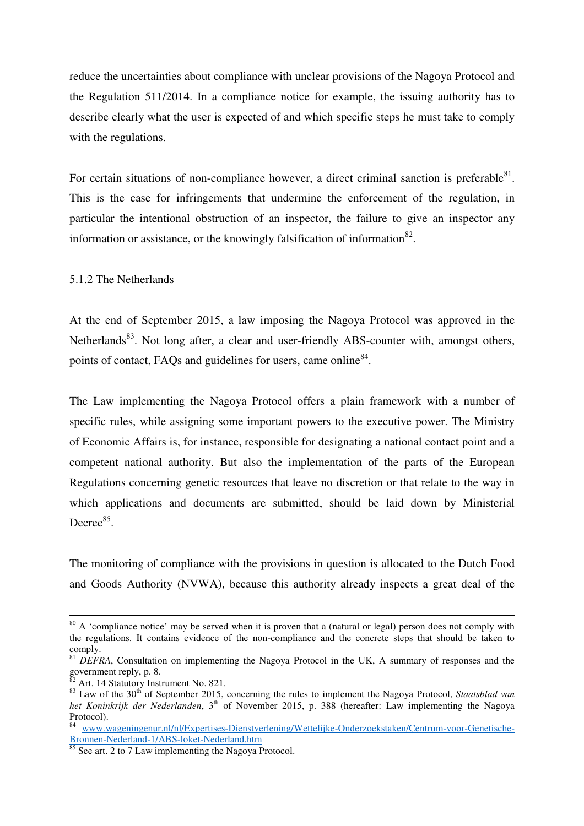reduce the uncertainties about compliance with unclear provisions of the Nagoya Protocol and the Regulation 511/2014. In a compliance notice for example, the issuing authority has to describe clearly what the user is expected of and which specific steps he must take to comply with the regulations.

For certain situations of non-compliance however, a direct criminal sanction is preferable $81$ . This is the case for infringements that undermine the enforcement of the regulation, in particular the intentional obstruction of an inspector, the failure to give an inspector any information or assistance, or the knowingly falsification of information $^{82}$ .

5.1.2 The Netherlands

At the end of September 2015, a law imposing the Nagoya Protocol was approved in the Netherlands<sup>83</sup>. Not long after, a clear and user-friendly ABS-counter with, amongst others, points of contact, FAQs and guidelines for users, came online<sup>84</sup>.

The Law implementing the Nagoya Protocol offers a plain framework with a number of specific rules, while assigning some important powers to the executive power. The Ministry of Economic Affairs is, for instance, responsible for designating a national contact point and a competent national authority. But also the implementation of the parts of the European Regulations concerning genetic resources that leave no discretion or that relate to the way in which applications and documents are submitted, should be laid down by Ministerial Decree $85$ .

The monitoring of compliance with the provisions in question is allocated to the Dutch Food and Goods Authority (NVWA), because this authority already inspects a great deal of the

 $80$  A 'compliance notice' may be served when it is proven that a (natural or legal) person does not comply with the regulations. It contains evidence of the non-compliance and the concrete steps that should be taken to comply.

<sup>&</sup>lt;sup>81</sup> *DEFRA*, Consultation on implementing the Nagoya Protocol in the UK, A summary of responses and the government reply, p. 8.

Art. 14 Statutory Instrument No. 821.

<sup>&</sup>lt;sup>83</sup> Law of the 30<sup>th</sup> of September 2015, concerning the rules to implement the Nagoya Protocol, *Staatsblad van* het Koninkrijk der Nederlanden, 3<sup>th</sup> of November 2015, p. 388 (hereafter: Law implementing the Nagoya Protocol).

<sup>84</sup> www.wageningenur.nl/nl/Expertises-Dienstverlening/Wettelijke-Onderzoekstaken/Centrum-voor-Genetische-Bronnen-Nederland-1/ABS-loket-Nederland.htm

See art. 2 to 7 Law implementing the Nagoya Protocol.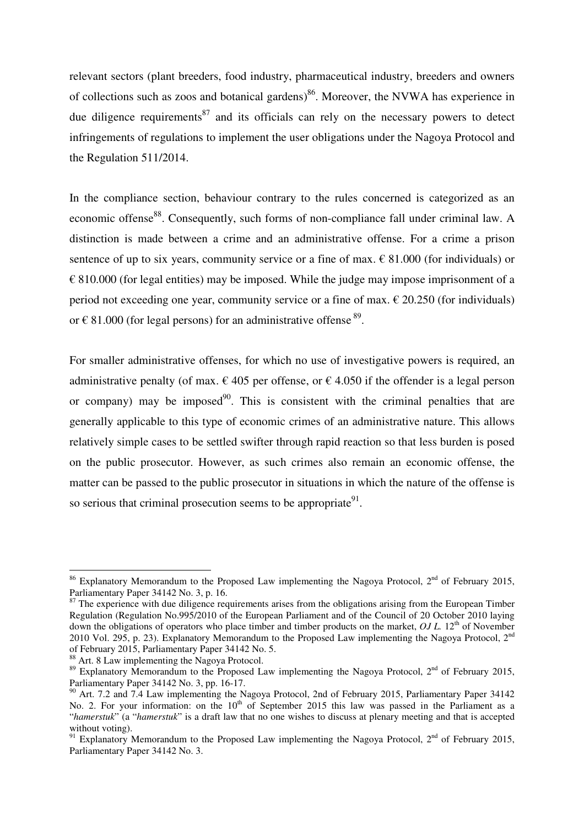relevant sectors (plant breeders, food industry, pharmaceutical industry, breeders and owners of collections such as zoos and botanical gardens)<sup>86</sup>. Moreover, the NVWA has experience in due diligence requirements<sup>87</sup> and its officials can rely on the necessary powers to detect infringements of regulations to implement the user obligations under the Nagoya Protocol and the Regulation 511/2014.

In the compliance section, behaviour contrary to the rules concerned is categorized as an economic offense<sup>88</sup>. Consequently, such forms of non-compliance fall under criminal law. A distinction is made between a crime and an administrative offense. For a crime a prison sentence of up to six years, community service or a fine of max.  $\epsilon$  81.000 (for individuals) or  $\epsilon$  810.000 (for legal entities) may be imposed. While the judge may impose imprisonment of a period not exceeding one year, community service or a fine of max.  $\epsilon$  20.250 (for individuals) or  $\epsilon$  81.000 (for legal persons) for an administrative offense  $^{89}$ .

For smaller administrative offenses, for which no use of investigative powers is required, an administrative penalty (of max.  $\epsilon$  405 per offense, or  $\epsilon$  4.050 if the offender is a legal person or company) may be imposed<sup>90</sup>. This is consistent with the criminal penalties that are generally applicable to this type of economic crimes of an administrative nature. This allows relatively simple cases to be settled swifter through rapid reaction so that less burden is posed on the public prosecutor. However, as such crimes also remain an economic offense, the matter can be passed to the public prosecutor in situations in which the nature of the offense is so serious that criminal prosecution seems to be appropriate<sup>91</sup>.

<sup>&</sup>lt;sup>86</sup> Explanatory Memorandum to the Proposed Law implementing the Nagoya Protocol,  $2^{nd}$  of February 2015, Parliamentary Paper 34142 No. 3, p. 16.

 $87$  The experience with due diligence requirements arises from the obligations arising from the European Timber Regulation (Regulation No.995/2010 of the European Parliament and of the Council of 20 October 2010 laying down the obligations of operators who place timber and timber products on the market, *OJ L*. 12<sup>th</sup> of November 2010 Vol. 295, p. 23). Explanatory Memorandum to the Proposed Law implementing the Nagoya Protocol, 2<sup>nd</sup> of February 2015, Parliamentary Paper 34142 No. 5.

<sup>88</sup> Art. 8 Law implementing the Nagoya Protocol.

<sup>&</sup>lt;sup>89</sup> Explanatory Memorandum to the Proposed Law implementing the Nagoya Protocol,  $2<sup>nd</sup>$  of February 2015, Parliamentary Paper 34142 No. 3, pp. 16-17.

<sup>&</sup>lt;sup>90</sup> Art. 7.2 and 7.4 Law implementing the Nagoya Protocol, 2nd of February 2015, Parliamentary Paper 34142 No. 2. For your information: on the 10<sup>th</sup> of September 2015 this law was passed in the Parliament as a "*hamerstuk*" (a "*hamerstuk*" is a draft law that no one wishes to discuss at plenary meeting and that is accepted without voting).

<sup>&</sup>lt;sup>91</sup> Explanatory Memorandum to the Proposed Law implementing the Nagoya Protocol,  $2^{nd}$  of February 2015, Parliamentary Paper 34142 No. 3.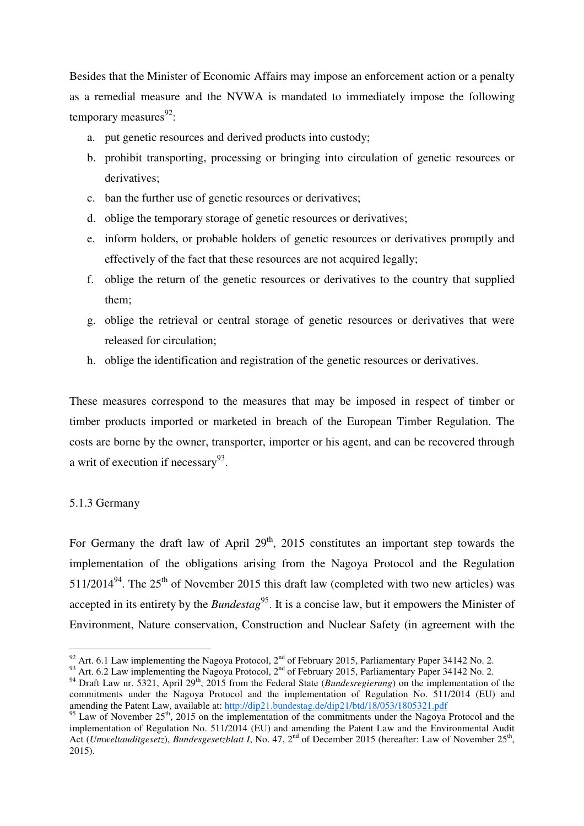Besides that the Minister of Economic Affairs may impose an enforcement action or a penalty as a remedial measure and the NVWA is mandated to immediately impose the following temporary measures<sup>92</sup>:

- a. put genetic resources and derived products into custody;
- b. prohibit transporting, processing or bringing into circulation of genetic resources or derivatives:
- c. ban the further use of genetic resources or derivatives;
- d. oblige the temporary storage of genetic resources or derivatives;
- e. inform holders, or probable holders of genetic resources or derivatives promptly and effectively of the fact that these resources are not acquired legally;
- f. oblige the return of the genetic resources or derivatives to the country that supplied them;
- g. oblige the retrieval or central storage of genetic resources or derivatives that were released for circulation;
- h. oblige the identification and registration of the genetic resources or derivatives.

These measures correspond to the measures that may be imposed in respect of timber or timber products imported or marketed in breach of the European Timber Regulation. The costs are borne by the owner, transporter, importer or his agent, and can be recovered through a writ of execution if necessary<sup>93</sup>.

#### 5.1.3 Germany

 $\overline{a}$ 

For Germany the draft law of April  $29<sup>th</sup>$ , 2015 constitutes an important step towards the implementation of the obligations arising from the Nagoya Protocol and the Regulation  $511/2014<sup>94</sup>$ . The 25<sup>th</sup> of November 2015 this draft law (completed with two new articles) was accepted in its entirety by the *Bundestag*<sup>95</sup>. It is a concise law, but it empowers the Minister of Environment, Nature conservation, Construction and Nuclear Safety (in agreement with the

<sup>&</sup>lt;sup>92</sup> Art. 6.1 Law implementing the Nagoya Protocol,  $2<sup>nd</sup>$  of February 2015, Parliamentary Paper 34142 No. 2.

<sup>93</sup> Art. 6.2 Law implementing the Nagoya Protocol,  $2<sup>nd</sup>$  of February 2015, Parliamentary Paper 34142 No. 2.

<sup>&</sup>lt;sup>94</sup> Draft Law nr. 5321, April 29<sup>th</sup>, 2015 from the Federal State (*Bundesregierung*) on the implementation of the commitments under the Nagoya Protocol and the implementation of Regulation No. 511/2014 (EU) and amending the Patent Law, available at: http://dip21.bundestag.de/dip21/btd/18/053/1805321.pdf

 $95$  Law of November 25<sup>th</sup>, 2015 on the implementation of the commitments under the Nagoya Protocol and the implementation of Regulation No. 511/2014 (EU) and amending the Patent Law and the Environmental Audit Act (*Umweltauditgesetz*), *Bundesgesetzblatt I*, No. 47, 2<sup>nd</sup> of December 2015 (hereafter: Law of November 25<sup>th</sup>, 2015).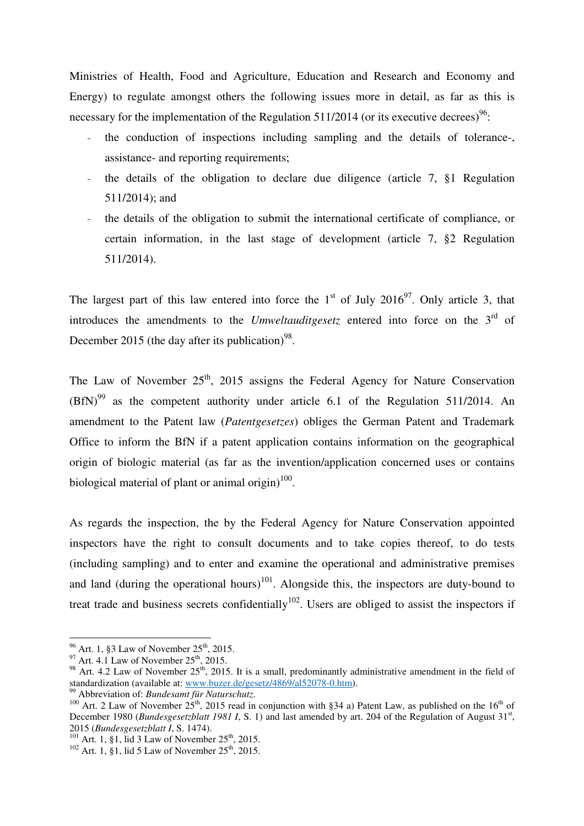Ministries of Health, Food and Agriculture, Education and Research and Economy and Energy) to regulate amongst others the following issues more in detail, as far as this is necessary for the implementation of the Regulation  $511/2014$  (or its executive decrees)<sup>96</sup>:

- the conduction of inspections including sampling and the details of tolerance-, assistance- and reporting requirements;
- the details of the obligation to declare due diligence (article 7, §1 Regulation 511/2014); and
- the details of the obligation to submit the international certificate of compliance, or certain information, in the last stage of development (article 7, §2 Regulation 511/2014).

The largest part of this law entered into force the  $1<sup>st</sup>$  of July 2016<sup>97</sup>. Only article 3, that introduces the amendments to the *Umweltauditgesetz* entered into force on the 3rd of December 2015 (the day after its publication)<sup>98</sup>.

The Law of November  $25<sup>th</sup>$ , 2015 assigns the Federal Agency for Nature Conservation  $(BfN)^{99}$  as the competent authority under article 6.1 of the Regulation 511/2014. An amendment to the Patent law (*Patentgesetzes*) obliges the German Patent and Trademark Office to inform the BfN if a patent application contains information on the geographical origin of biologic material (as far as the invention/application concerned uses or contains biological material of plant or animal origin) $100$ .

As regards the inspection, the by the Federal Agency for Nature Conservation appointed inspectors have the right to consult documents and to take copies thereof, to do tests (including sampling) and to enter and examine the operational and administrative premises and land (during the operational hours)<sup>101</sup>. Alongside this, the inspectors are duty-bound to treat trade and business secrets confidentially<sup>102</sup>. Users are obliged to assist the inspectors if

 $96$  Art. 1, §3 Law of November 25<sup>th</sup>, 2015.

 $^{97}$  Art. 4.1 Law of November 25<sup>th</sup>, 2015.

<sup>&</sup>lt;sup>98</sup> Art. 4.2 Law of November  $25<sup>th</sup>$ , 2015. It is a small, predominantly administrative amendment in the field of standardization (available at: www.buzer.de/gesetz/4869/al52078-0.htm).

<sup>&</sup>lt;sup>9</sup> Abbreviation of: *Bundesamt für Naturschutz*.

<sup>&</sup>lt;sup>100</sup> Art. 2 Law of November 25<sup>th</sup>, 2015 read in conjunction with §34 a) Patent Law, as published on the 16<sup>th</sup> of December 1980 (*Bundesgesetzblatt 1981 I*, S. 1) and last amended by art. 204 of the Regulation of August 31<sup>st</sup>, 2015 (*Bundesgesetzblatt I*, S. 1474).

 $101$  Art. 1, §1, lid 3 Law of November 25<sup>th</sup>, 2015.

 $102$  Art. 1, §1, lid 5 Law of November 25<sup>th</sup>, 2015.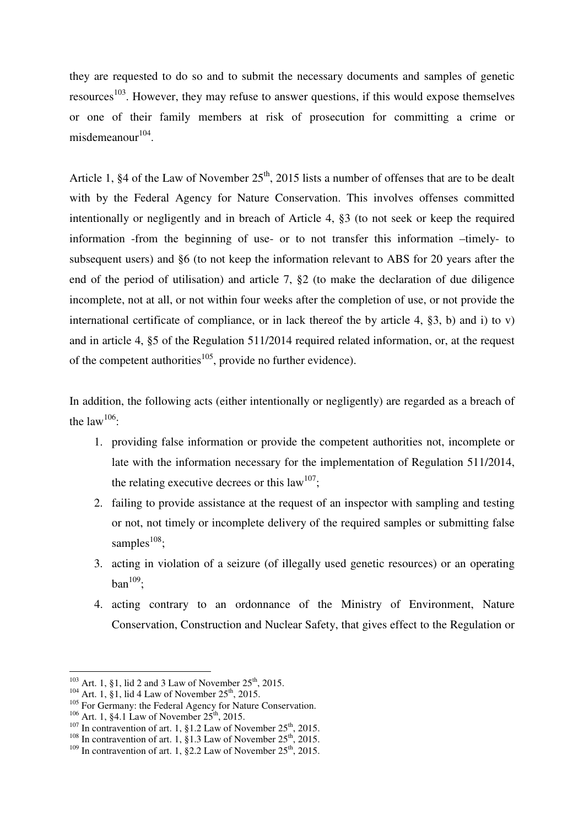they are requested to do so and to submit the necessary documents and samples of genetic resources<sup>103</sup>. However, they may refuse to answer questions, if this would expose themselves or one of their family members at risk of prosecution for committing a crime or  $misdemeanour<sup>104</sup>$ .

Article 1,  $\S 4$  of the Law of November  $25<sup>th</sup>$ , 2015 lists a number of offenses that are to be dealt with by the Federal Agency for Nature Conservation. This involves offenses committed intentionally or negligently and in breach of Article 4, §3 (to not seek or keep the required information -from the beginning of use- or to not transfer this information –timely- to subsequent users) and §6 (to not keep the information relevant to ABS for 20 years after the end of the period of utilisation) and article 7, §2 (to make the declaration of due diligence incomplete, not at all, or not within four weeks after the completion of use, or not provide the international certificate of compliance, or in lack thereof the by article 4, §3, b) and i) to v) and in article 4, §5 of the Regulation 511/2014 required related information, or, at the request of the competent authorities<sup>105</sup>, provide no further evidence).

In addition, the following acts (either intentionally or negligently) are regarded as a breach of the law<sup>106</sup>:

- 1. providing false information or provide the competent authorities not, incomplete or late with the information necessary for the implementation of Regulation 511/2014, the relating executive decrees or this  $law^{107}$ ;
- 2. failing to provide assistance at the request of an inspector with sampling and testing or not, not timely or incomplete delivery of the required samples or submitting false samples $^{108}$ ;
- 3. acting in violation of a seizure (of illegally used genetic resources) or an operating  $ban<sup>109</sup>$ ;
- 4. acting contrary to an ordonnance of the Ministry of Environment, Nature Conservation, Construction and Nuclear Safety, that gives effect to the Regulation or

 $103$  Art. 1, §1, lid 2 and 3 Law of November 25<sup>th</sup>, 2015.

 $104$  Art. 1, §1, lid 4 Law of November 25<sup>th</sup>, 2015.

<sup>&</sup>lt;sup>105</sup> For Germany: the Federal Agency for Nature Conservation.

 $106$  Art. 1, §4.1 Law of November  $25^{th}$ , 2015.

 $107$  In contravention of art. 1, §1.2 Law of November 25<sup>th</sup>, 2015.

<sup>&</sup>lt;sup>108</sup> In contravention of art. 1, §1.3 Law of November  $25<sup>th</sup>$ , 2015.

<sup>&</sup>lt;sup>109</sup> In contravention of art. 1, §2.2 Law of November 25<sup>th</sup>, 2015.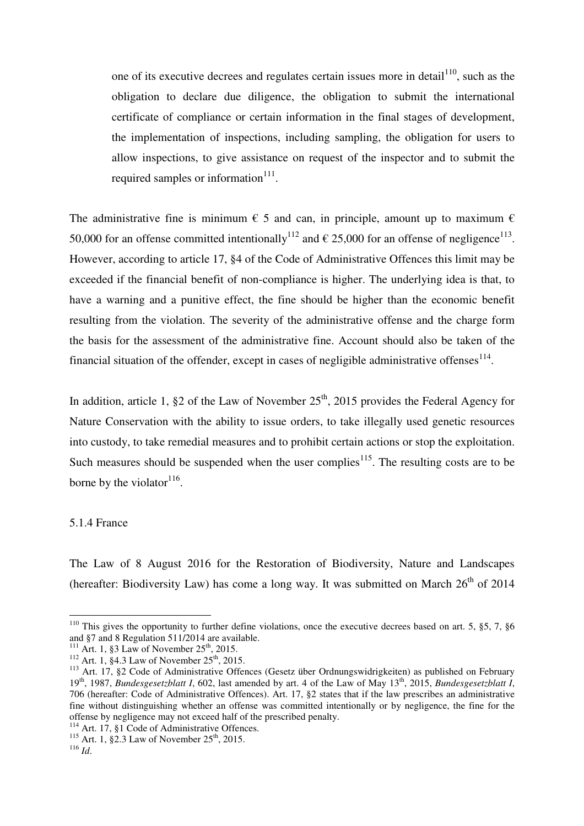one of its executive decrees and regulates certain issues more in detail<sup>110</sup>, such as the obligation to declare due diligence, the obligation to submit the international certificate of compliance or certain information in the final stages of development, the implementation of inspections, including sampling, the obligation for users to allow inspections, to give assistance on request of the inspector and to submit the required samples or information $111$ .

The administrative fine is minimum  $\epsilon$  5 and can, in principle, amount up to maximum  $\epsilon$ 50,000 for an offense committed intentionally<sup>112</sup> and  $\epsilon$  25,000 for an offense of negligence<sup>113</sup>. However, according to article 17, §4 of the Code of Administrative Offences this limit may be exceeded if the financial benefit of non-compliance is higher. The underlying idea is that, to have a warning and a punitive effect, the fine should be higher than the economic benefit resulting from the violation. The severity of the administrative offense and the charge form the basis for the assessment of the administrative fine. Account should also be taken of the financial situation of the offender, except in cases of negligible administrative offenses $^{114}$ .

In addition, article 1,  $\S 2$  of the Law of November  $25<sup>th</sup>$ , 2015 provides the Federal Agency for Nature Conservation with the ability to issue orders, to take illegally used genetic resources into custody, to take remedial measures and to prohibit certain actions or stop the exploitation. Such measures should be suspended when the user complies<sup>115</sup>. The resulting costs are to be borne by the violator $116$ .

## 5.1.4 France

The Law of 8 August 2016 for the Restoration of Biodiversity, Nature and Landscapes (hereafter: Biodiversity Law) has come a long way. It was submitted on March  $26<sup>th</sup>$  of 2014

<sup>&</sup>lt;sup>110</sup> This gives the opportunity to further define violations, once the executive decrees based on art. 5,  $\S$ 5, 7,  $\S$ 6 and §7 and 8 Regulation 511/2014 are available.

<sup>&</sup>lt;sup>111</sup> Art. 1, §3 Law of November  $25<sup>th</sup>$ , 2015.

 $112$  Art. 1, §4.3 Law of November 25<sup>th</sup>, 2015.

<sup>113</sup> Art. 17, §2 Code of Administrative Offences (Gesetz über Ordnungswidrigkeiten) as published on February 19th, 1987, *Bundesgesetzblatt I*, 602, last amended by art. 4 of the Law of May 13th, 2015, *Bundesgesetzblatt I*, 706 (hereafter: Code of Administrative Offences). Art. 17, §2 states that if the law prescribes an administrative fine without distinguishing whether an offense was committed intentionally or by negligence, the fine for the offense by negligence may not exceed half of the prescribed penalty.

<sup>&</sup>lt;sup>114</sup> Art. 17, §1 Code of Administrative Offences.

<sup>115</sup> Art. 1,  $\S 1$  Cour of Administrative Lem

<sup>116</sup> *Id*.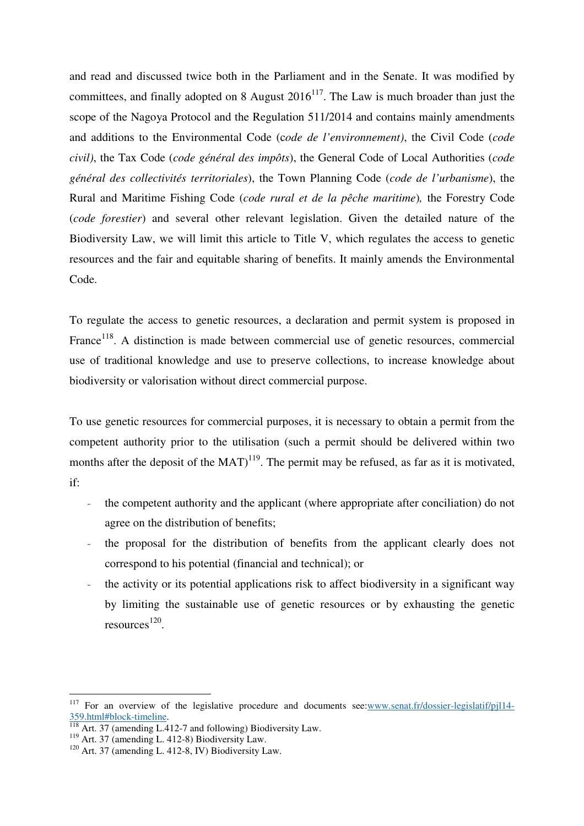and read and discussed twice both in the Parliament and in the Senate. It was modified by committees, and finally adopted on 8 August  $2016^{117}$ . The Law is much broader than just the scope of the Nagoya Protocol and the Regulation 511/2014 and contains mainly amendments and additions to the Environmental Code (c*ode de l'environnement)*, the Civil Code (*code civil)*, the Tax Code (*code général des impôts*), the General Code of Local Authorities (*code général des collectivités territoriales*), the Town Planning Code (*code de l'urbanisme*), the Rural and Maritime Fishing Code (*code rural et de la pêche maritime*)*,* the Forestry Code (*code forestier*) and several other relevant legislation. Given the detailed nature of the Biodiversity Law, we will limit this article to Title V, which regulates the access to genetic resources and the fair and equitable sharing of benefits. It mainly amends the Environmental Code.

To regulate the access to genetic resources, a declaration and permit system is proposed in France<sup>118</sup>. A distinction is made between commercial use of genetic resources, commercial use of traditional knowledge and use to preserve collections, to increase knowledge about biodiversity or valorisation without direct commercial purpose.

To use genetic resources for commercial purposes, it is necessary to obtain a permit from the competent authority prior to the utilisation (such a permit should be delivered within two months after the deposit of the  $MAT$ <sup>119</sup>. The permit may be refused, as far as it is motivated, if:

- the competent authority and the applicant (where appropriate after conciliation) do not agree on the distribution of benefits;
- the proposal for the distribution of benefits from the applicant clearly does not correspond to his potential (financial and technical); or
- the activity or its potential applications risk to affect biodiversity in a significant way by limiting the sustainable use of genetic resources or by exhausting the genetic  $resources<sup>120</sup>$ .

<sup>&</sup>lt;sup>117</sup> For an overview of the legislative procedure and documents see: www.senat.fr/dossier-legislatif/pjl14-359.html#block-timeline.

 $\frac{118}{118}$  Art. 37 (amending L.412-7 and following) Biodiversity Law.

<sup>119</sup> Art. 37 (amending L.  $112 + 3$ ) Biodiversity Law.

 $120$  Art. 37 (amending L. 412-8, IV) Biodiversity Law.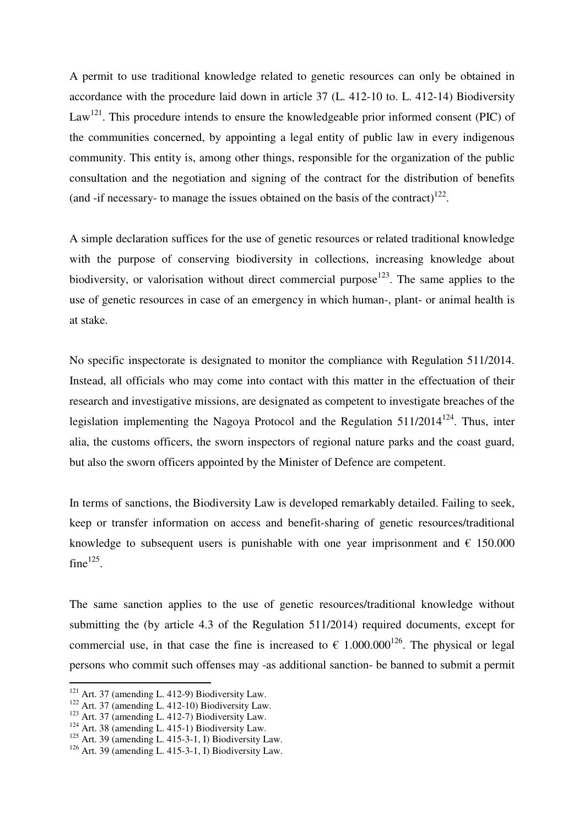A permit to use traditional knowledge related to genetic resources can only be obtained in accordance with the procedure laid down in article 37 (L. 412-10 to. L. 412-14) Biodiversity Law<sup>121</sup>. This procedure intends to ensure the knowledgeable prior informed consent (PIC) of the communities concerned, by appointing a legal entity of public law in every indigenous community. This entity is, among other things, responsible for the organization of the public consultation and the negotiation and signing of the contract for the distribution of benefits (and -if necessary- to manage the issues obtained on the basis of the contract) $^{122}$ .

A simple declaration suffices for the use of genetic resources or related traditional knowledge with the purpose of conserving biodiversity in collections, increasing knowledge about biodiversity, or valorisation without direct commercial purpose<sup>123</sup>. The same applies to the use of genetic resources in case of an emergency in which human-, plant- or animal health is at stake.

No specific inspectorate is designated to monitor the compliance with Regulation 511/2014. Instead, all officials who may come into contact with this matter in the effectuation of their research and investigative missions, are designated as competent to investigate breaches of the legislation implementing the Nagoya Protocol and the Regulation  $511/2014^{124}$ . Thus, inter alia, the customs officers, the sworn inspectors of regional nature parks and the coast guard, but also the sworn officers appointed by the Minister of Defence are competent.

In terms of sanctions, the Biodiversity Law is developed remarkably detailed. Failing to seek, keep or transfer information on access and benefit-sharing of genetic resources/traditional knowledge to subsequent users is punishable with one year imprisonment and  $\epsilon$  150.000 fine $^{125}$ .

The same sanction applies to the use of genetic resources/traditional knowledge without submitting the (by article 4.3 of the Regulation 511/2014) required documents, except for commercial use, in that case the fine is increased to  $\epsilon$  1.000.000<sup>126</sup>. The physical or legal persons who commit such offenses may -as additional sanction- be banned to submit a permit

<sup>&</sup>lt;sup>121</sup> Art. 37 (amending L. 412-9) Biodiversity Law.

 $122$  Art. 37 (amending L. 412-10) Biodiversity Law.

<sup>&</sup>lt;sup>123</sup> Art. 37 (amending L. 412-7) Biodiversity Law.

 $124$  Art. 38 (amending L. 415-1) Biodiversity Law.

 $125$  Art. 39 (amending L. 415-3-1, I) Biodiversity Law.

 $126$  Art. 39 (amending L. 415-3-1, I) Biodiversity Law.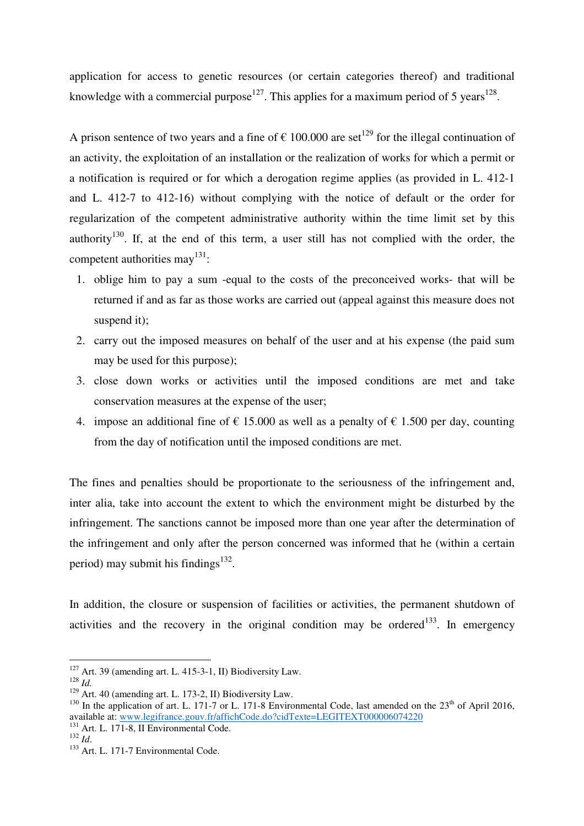application for access to genetic resources (or certain categories thereof) and traditional knowledge with a commercial purpose<sup>127</sup>. This applies for a maximum period of 5 years<sup>128</sup>.

A prison sentence of two years and a fine of  $\epsilon$  100.000 are set<sup>129</sup> for the illegal continuation of an activity, the exploitation of an installation or the realization of works for which a permit or a notification is required or for which a derogation regime applies (as provided in L. 412-1 and L. 412-7 to 412-16) without complying with the notice of default or the order for regularization of the competent administrative authority within the time limit set by this authority<sup>130</sup>. If, at the end of this term, a user still has not complied with the order, the competent authorities may $^{131}$ :

- 1. oblige him to pay a sum -equal to the costs of the preconceived works- that will be returned if and as far as those works are carried out (appeal against this measure does not suspend it):
- 2. carry out the imposed measures on behalf of the user and at his expense (the paid sum may be used for this purpose);
- 3. close down works or activities until the imposed conditions are met and take conservation measures at the expense of the user;
- 4. impose an additional fine of  $\epsilon$  15.000 as well as a penalty of  $\epsilon$  1.500 per day, counting from the day of notification until the imposed conditions are met.

The fines and penalties should be proportionate to the seriousness of the infringement and, inter alia, take into account the extent to which the environment might be disturbed by the infringement. The sanctions cannot be imposed more than one year after the determination of the infringement and only after the person concerned was informed that he (within a certain period) may submit his findings $^{132}$ .

In addition, the closure or suspension of facilities or activities, the permanent shutdown of activities and the recovery in the original condition may be ordered<sup>133</sup>. In emergency

<sup>127</sup> Art. 39 (amending art. L. 415-3-1, II) Biodiversity Law.

<sup>128</sup> *Id.*

 $129$  Art. 40 (amending art. L. 173-2, II) Biodiversity Law.

<sup>&</sup>lt;sup>130</sup> In the application of art. L. 171-7 or L. 171-8 Environmental Code, last amended on the  $23<sup>th</sup>$  of April 2016, available at: www.legifrance.gouv.fr/affichCode.do?cidTexte=LEGITEXT000006074220

<sup>&</sup>lt;sup>131</sup> Art. L. 171-8, II Environmental Code.

<sup>132</sup> *Id*.

<sup>&</sup>lt;sup>133</sup> Art. L. 171-7 Environmental Code.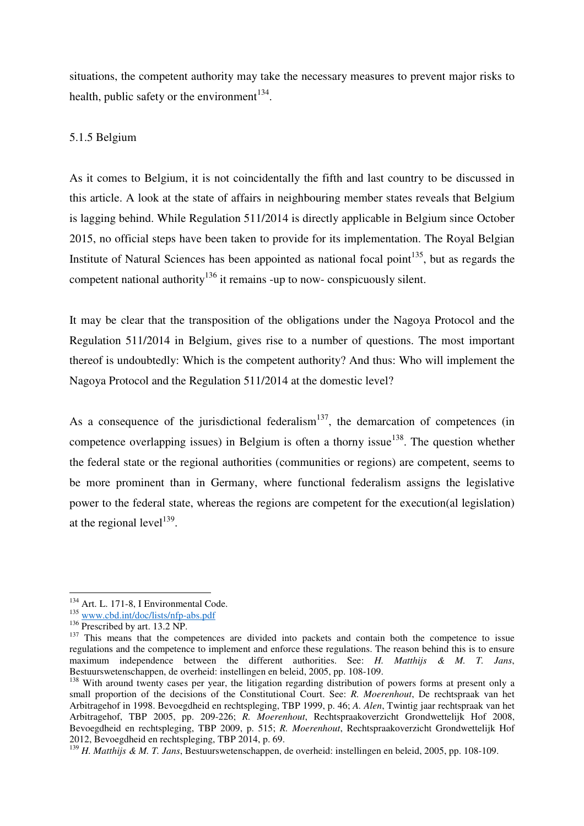situations, the competent authority may take the necessary measures to prevent major risks to health, public safety or the environment<sup>134</sup>.

#### 5.1.5 Belgium

As it comes to Belgium, it is not coincidentally the fifth and last country to be discussed in this article. A look at the state of affairs in neighbouring member states reveals that Belgium is lagging behind. While Regulation 511/2014 is directly applicable in Belgium since October 2015, no official steps have been taken to provide for its implementation. The Royal Belgian Institute of Natural Sciences has been appointed as national focal point $135$ , but as regards the competent national authority<sup>136</sup> it remains -up to now- conspicuously silent.

It may be clear that the transposition of the obligations under the Nagoya Protocol and the Regulation 511/2014 in Belgium, gives rise to a number of questions. The most important thereof is undoubtedly: Which is the competent authority? And thus: Who will implement the Nagoya Protocol and the Regulation 511/2014 at the domestic level?

As a consequence of the jurisdictional federalism<sup>137</sup>, the demarcation of competences (in competence overlapping issues) in Belgium is often a thorny issue<sup>138</sup>. The question whether the federal state or the regional authorities (communities or regions) are competent, seems to be more prominent than in Germany, where functional federalism assigns the legislative power to the federal state, whereas the regions are competent for the execution(al legislation) at the regional level<sup>139</sup>.

 $\overline{a}$ 

<sup>139</sup> *H. Matthijs & M. T. Jans*, Bestuurswetenschappen, de overheid: instellingen en beleid, 2005, pp. 108-109.

<sup>&</sup>lt;sup>134</sup> Art. L. 171-8, I Environmental Code.

 $\frac{135 \text{ WWW.cbd.int/doc/lists/nfp-abs.pdf}}{$ 

<sup>136</sup> Prescribed by art. 13.2 NP.

<sup>&</sup>lt;sup>137</sup> This means that the competences are divided into packets and contain both the competence to issue regulations and the competence to implement and enforce these regulations. The reason behind this is to ensure maximum independence between the different authorities. See: *H. Matthijs & M. T. Jans*, Bestuurswetenschappen, de overheid: instellingen en beleid, 2005, pp. 108-109.

<sup>&</sup>lt;sup>138</sup> With around twenty cases per year, the litigation regarding distribution of powers forms at present only a small proportion of the decisions of the Constitutional Court. See: *R. Moerenhout*, De rechtspraak van het Arbitragehof in 1998. Bevoegdheid en rechtspleging, TBP 1999, p. 46; *A. Alen*, Twintig jaar rechtspraak van het Arbitragehof, TBP 2005, pp. 209-226; *R. Moerenhout*, Rechtspraakoverzicht Grondwettelijk Hof 2008, Bevoegdheid en rechtspleging, TBP 2009, p. 515; *R. Moerenhout*, Rechtspraakoverzicht Grondwettelijk Hof 2012, Bevoegdheid en rechtspleging, TBP 2014, p. 69.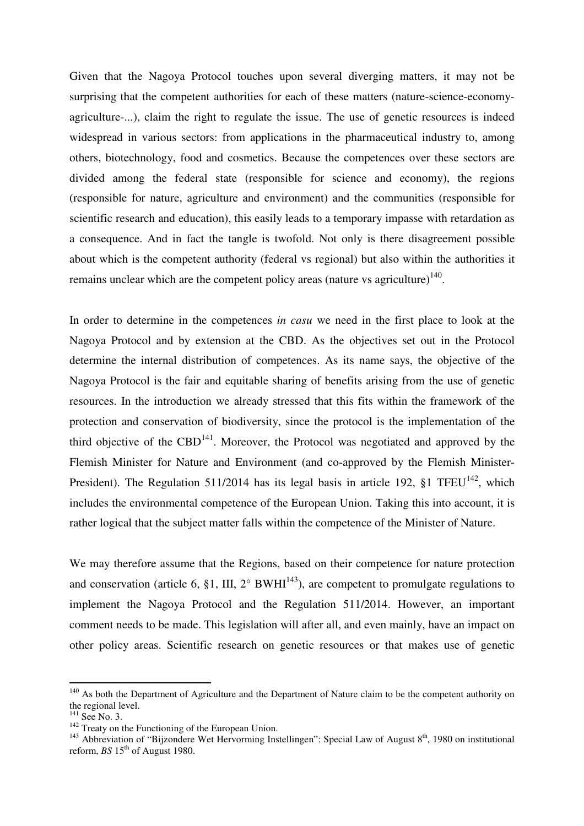Given that the Nagoya Protocol touches upon several diverging matters, it may not be surprising that the competent authorities for each of these matters (nature-science-economyagriculture-...), claim the right to regulate the issue. The use of genetic resources is indeed widespread in various sectors: from applications in the pharmaceutical industry to, among others, biotechnology, food and cosmetics. Because the competences over these sectors are divided among the federal state (responsible for science and economy), the regions (responsible for nature, agriculture and environment) and the communities (responsible for scientific research and education), this easily leads to a temporary impasse with retardation as a consequence. And in fact the tangle is twofold. Not only is there disagreement possible about which is the competent authority (federal vs regional) but also within the authorities it remains unclear which are the competent policy areas (nature vs agriculture) $140$ .

In order to determine in the competences *in casu* we need in the first place to look at the Nagoya Protocol and by extension at the CBD. As the objectives set out in the Protocol determine the internal distribution of competences. As its name says, the objective of the Nagoya Protocol is the fair and equitable sharing of benefits arising from the use of genetic resources. In the introduction we already stressed that this fits within the framework of the protection and conservation of biodiversity, since the protocol is the implementation of the third objective of the CBD<sup>141</sup>. Moreover, the Protocol was negotiated and approved by the Flemish Minister for Nature and Environment (and co-approved by the Flemish Minister-President). The Regulation 511/2014 has its legal basis in article 192,  $\S1$  TFEU<sup>142</sup>, which includes the environmental competence of the European Union. Taking this into account, it is rather logical that the subject matter falls within the competence of the Minister of Nature.

We may therefore assume that the Regions, based on their competence for nature protection and conservation (article 6, §1, III,  $2^{\circ}$  BWHI<sup>143</sup>), are competent to promulgate regulations to implement the Nagoya Protocol and the Regulation 511/2014. However, an important comment needs to be made. This legislation will after all, and even mainly, have an impact on other policy areas. Scientific research on genetic resources or that makes use of genetic

<sup>&</sup>lt;sup>140</sup> As both the Department of Agriculture and the Department of Nature claim to be the competent authority on the regional level.

<sup>&</sup>lt;sup>141</sup> See No. 3.

 $142$  Treaty on the Functioning of the European Union.

<sup>&</sup>lt;sup>143</sup> Abbreviation of "Bijzondere Wet Hervorming Instellingen": Special Law of August  $8<sup>th</sup>$ , 1980 on institutional reform,  $BS$  15<sup>th</sup> of August 1980.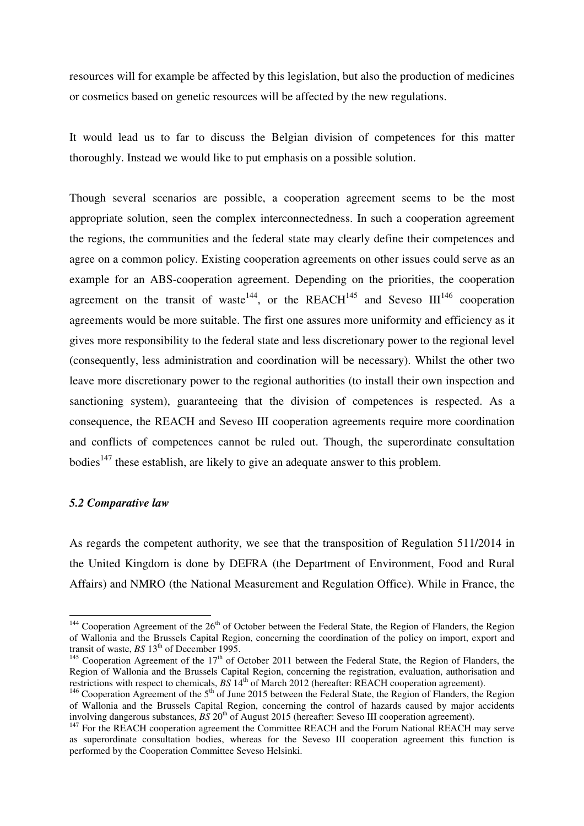resources will for example be affected by this legislation, but also the production of medicines or cosmetics based on genetic resources will be affected by the new regulations.

It would lead us to far to discuss the Belgian division of competences for this matter thoroughly. Instead we would like to put emphasis on a possible solution.

Though several scenarios are possible, a cooperation agreement seems to be the most appropriate solution, seen the complex interconnectedness. In such a cooperation agreement the regions, the communities and the federal state may clearly define their competences and agree on a common policy. Existing cooperation agreements on other issues could serve as an example for an ABS-cooperation agreement. Depending on the priorities, the cooperation agreement on the transit of waste<sup>144</sup>, or the REACH<sup>145</sup> and Seveso  $III^{146}$  cooperation agreements would be more suitable. The first one assures more uniformity and efficiency as it gives more responsibility to the federal state and less discretionary power to the regional level (consequently, less administration and coordination will be necessary). Whilst the other two leave more discretionary power to the regional authorities (to install their own inspection and sanctioning system), guaranteeing that the division of competences is respected. As a consequence, the REACH and Seveso III cooperation agreements require more coordination and conflicts of competences cannot be ruled out. Though, the superordinate consultation bodies<sup>147</sup> these establish, are likely to give an adequate answer to this problem.

#### *5.2 Comparative law*

 $\overline{a}$ 

As regards the competent authority, we see that the transposition of Regulation 511/2014 in the United Kingdom is done by DEFRA (the Department of Environment, Food and Rural Affairs) and NMRO (the National Measurement and Regulation Office). While in France, the

<sup>&</sup>lt;sup>144</sup> Cooperation Agreement of the 26<sup>th</sup> of October between the Federal State, the Region of Flanders, the Region of Wallonia and the Brussels Capital Region, concerning the coordination of the policy on import, export and transit of waste, *BS* 13<sup>th</sup> of December 1995.

<sup>&</sup>lt;sup>145</sup> Cooperation Agreement of the  $17<sup>th</sup>$  of October 2011 between the Federal State, the Region of Flanders, the Region of Wallonia and the Brussels Capital Region, concerning the registration, evaluation, authorisation and restrictions with respect to chemicals, *BS* 14th of March 2012 (hereafter: REACH cooperation agreement).

<sup>&</sup>lt;sup>146</sup> Cooperation Agreement of the  $5<sup>th</sup>$  of June 2015 between the Federal State, the Region of Flanders, the Region of Wallonia and the Brussels Capital Region, concerning the control of hazards caused by major accidents involving dangerous substances,  $\overline{BS}$  20<sup>th</sup> of August 2015 (hereafter: Seveso III cooperation agreement).

<sup>&</sup>lt;sup>147</sup> For the REACH cooperation agreement the Committee REACH and the Forum National REACH may serve as superordinate consultation bodies, whereas for the Seveso III cooperation agreement this function is performed by the Cooperation Committee Seveso Helsinki.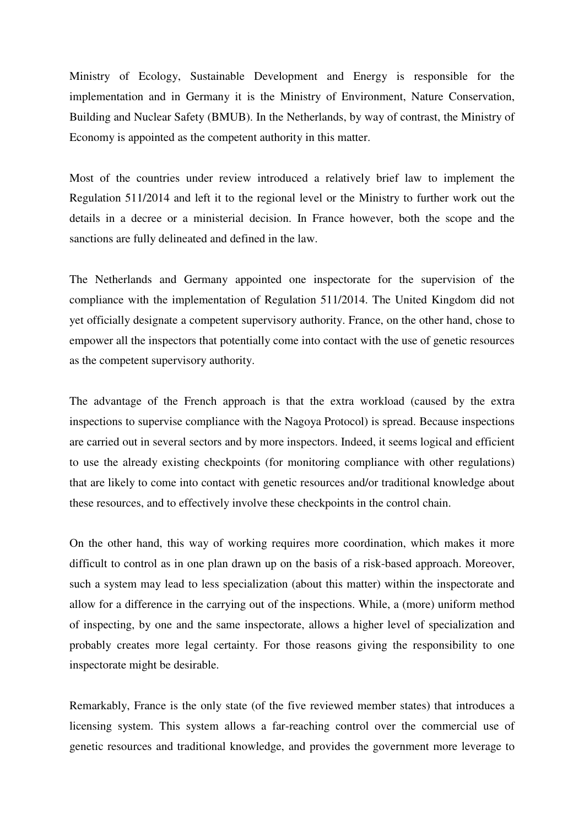Ministry of Ecology, Sustainable Development and Energy is responsible for the implementation and in Germany it is the Ministry of Environment, Nature Conservation, Building and Nuclear Safety (BMUB). In the Netherlands, by way of contrast, the Ministry of Economy is appointed as the competent authority in this matter.

Most of the countries under review introduced a relatively brief law to implement the Regulation 511/2014 and left it to the regional level or the Ministry to further work out the details in a decree or a ministerial decision. In France however, both the scope and the sanctions are fully delineated and defined in the law.

The Netherlands and Germany appointed one inspectorate for the supervision of the compliance with the implementation of Regulation 511/2014. The United Kingdom did not yet officially designate a competent supervisory authority. France, on the other hand, chose to empower all the inspectors that potentially come into contact with the use of genetic resources as the competent supervisory authority.

The advantage of the French approach is that the extra workload (caused by the extra inspections to supervise compliance with the Nagoya Protocol) is spread. Because inspections are carried out in several sectors and by more inspectors. Indeed, it seems logical and efficient to use the already existing checkpoints (for monitoring compliance with other regulations) that are likely to come into contact with genetic resources and/or traditional knowledge about these resources, and to effectively involve these checkpoints in the control chain.

On the other hand, this way of working requires more coordination, which makes it more difficult to control as in one plan drawn up on the basis of a risk-based approach. Moreover, such a system may lead to less specialization (about this matter) within the inspectorate and allow for a difference in the carrying out of the inspections. While, a (more) uniform method of inspecting, by one and the same inspectorate, allows a higher level of specialization and probably creates more legal certainty. For those reasons giving the responsibility to one inspectorate might be desirable.

Remarkably, France is the only state (of the five reviewed member states) that introduces a licensing system. This system allows a far-reaching control over the commercial use of genetic resources and traditional knowledge, and provides the government more leverage to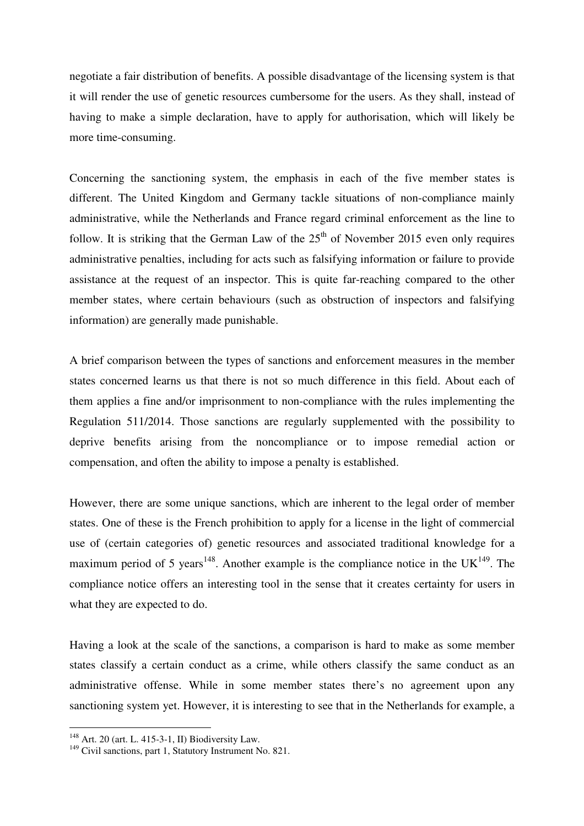negotiate a fair distribution of benefits. A possible disadvantage of the licensing system is that it will render the use of genetic resources cumbersome for the users. As they shall, instead of having to make a simple declaration, have to apply for authorisation, which will likely be more time-consuming.

Concerning the sanctioning system, the emphasis in each of the five member states is different. The United Kingdom and Germany tackle situations of non-compliance mainly administrative, while the Netherlands and France regard criminal enforcement as the line to follow. It is striking that the German Law of the  $25<sup>th</sup>$  of November 2015 even only requires administrative penalties, including for acts such as falsifying information or failure to provide assistance at the request of an inspector. This is quite far-reaching compared to the other member states, where certain behaviours (such as obstruction of inspectors and falsifying information) are generally made punishable.

A brief comparison between the types of sanctions and enforcement measures in the member states concerned learns us that there is not so much difference in this field. About each of them applies a fine and/or imprisonment to non-compliance with the rules implementing the Regulation 511/2014. Those sanctions are regularly supplemented with the possibility to deprive benefits arising from the noncompliance or to impose remedial action or compensation, and often the ability to impose a penalty is established.

However, there are some unique sanctions, which are inherent to the legal order of member states. One of these is the French prohibition to apply for a license in the light of commercial use of (certain categories of) genetic resources and associated traditional knowledge for a maximum period of 5 years<sup>148</sup>. Another example is the compliance notice in the UK<sup>149</sup>. The compliance notice offers an interesting tool in the sense that it creates certainty for users in what they are expected to do.

Having a look at the scale of the sanctions, a comparison is hard to make as some member states classify a certain conduct as a crime, while others classify the same conduct as an administrative offense. While in some member states there's no agreement upon any sanctioning system yet. However, it is interesting to see that in the Netherlands for example, a

 $148$  Art. 20 (art. L. 415-3-1, II) Biodiversity Law.

<sup>&</sup>lt;sup>149</sup> Civil sanctions, part 1, Statutory Instrument No. 821.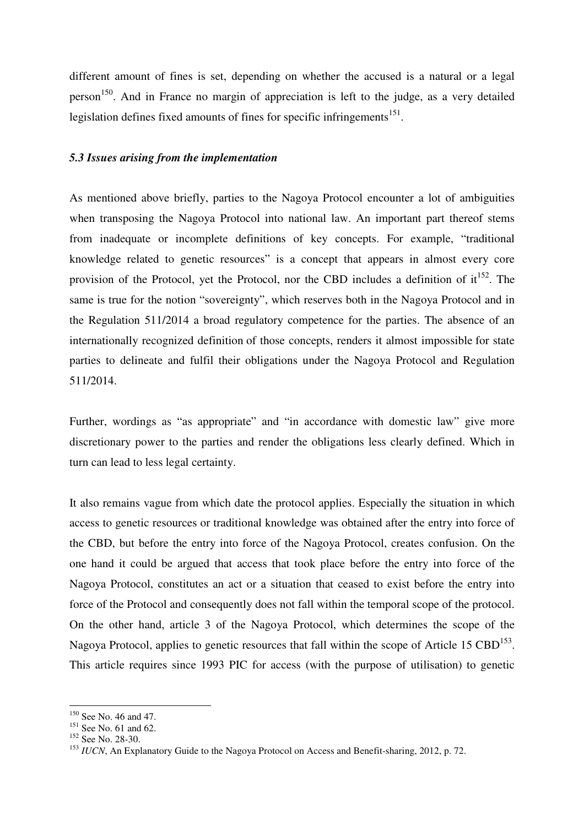different amount of fines is set, depending on whether the accused is a natural or a legal person<sup>150</sup>. And in France no margin of appreciation is left to the judge, as a very detailed legislation defines fixed amounts of fines for specific infringements<sup>151</sup>.

## *5.3 Issues arising from the implementation*

As mentioned above briefly, parties to the Nagoya Protocol encounter a lot of ambiguities when transposing the Nagoya Protocol into national law. An important part thereof stems from inadequate or incomplete definitions of key concepts. For example, "traditional knowledge related to genetic resources" is a concept that appears in almost every core provision of the Protocol, yet the Protocol, nor the CBD includes a definition of  $it^{152}$ . The same is true for the notion "sovereignty", which reserves both in the Nagoya Protocol and in the Regulation 511/2014 a broad regulatory competence for the parties. The absence of an internationally recognized definition of those concepts, renders it almost impossible for state parties to delineate and fulfil their obligations under the Nagoya Protocol and Regulation 511/2014.

Further, wordings as "as appropriate" and "in accordance with domestic law" give more discretionary power to the parties and render the obligations less clearly defined. Which in turn can lead to less legal certainty.

It also remains vague from which date the protocol applies. Especially the situation in which access to genetic resources or traditional knowledge was obtained after the entry into force of the CBD, but before the entry into force of the Nagoya Protocol, creates confusion. On the one hand it could be argued that access that took place before the entry into force of the Nagoya Protocol, constitutes an act or a situation that ceased to exist before the entry into force of the Protocol and consequently does not fall within the temporal scope of the protocol. On the other hand, article 3 of the Nagoya Protocol, which determines the scope of the Nagoya Protocol, applies to genetic resources that fall within the scope of Article 15  $\text{CBD}^{153}$ . This article requires since 1993 PIC for access (with the purpose of utilisation) to genetic

<sup>&</sup>lt;sup>150</sup> See No. 46 and 47.

 $151$  See No. 61 and 62.

<sup>&</sup>lt;sup>152</sup> See No. 28-30.

<sup>&</sup>lt;sup>153</sup> *IUCN*, An Explanatory Guide to the Nagoya Protocol on Access and Benefit-sharing, 2012, p. 72.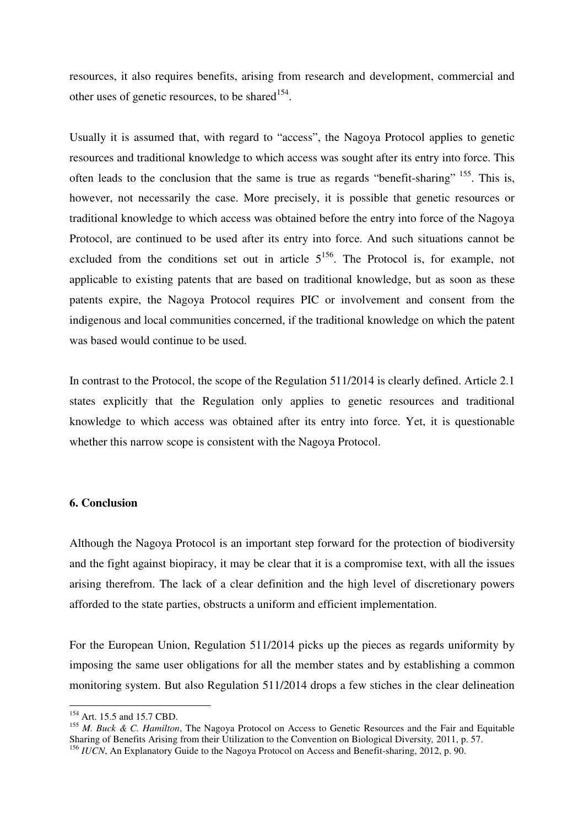resources, it also requires benefits, arising from research and development, commercial and other uses of genetic resources, to be shared<sup>154</sup>.

Usually it is assumed that, with regard to "access", the Nagoya Protocol applies to genetic resources and traditional knowledge to which access was sought after its entry into force. This often leads to the conclusion that the same is true as regards "benefit-sharing"  $155$ . This is, however, not necessarily the case. More precisely, it is possible that genetic resources or traditional knowledge to which access was obtained before the entry into force of the Nagoya Protocol, are continued to be used after its entry into force. And such situations cannot be excluded from the conditions set out in article  $5^{156}$ . The Protocol is, for example, not applicable to existing patents that are based on traditional knowledge, but as soon as these patents expire, the Nagoya Protocol requires PIC or involvement and consent from the indigenous and local communities concerned, if the traditional knowledge on which the patent was based would continue to be used.

In contrast to the Protocol, the scope of the Regulation 511/2014 is clearly defined. Article 2.1 states explicitly that the Regulation only applies to genetic resources and traditional knowledge to which access was obtained after its entry into force. Yet, it is questionable whether this narrow scope is consistent with the Nagoya Protocol.

## **6. Conclusion**

Although the Nagoya Protocol is an important step forward for the protection of biodiversity and the fight against biopiracy, it may be clear that it is a compromise text, with all the issues arising therefrom. The lack of a clear definition and the high level of discretionary powers afforded to the state parties, obstructs a uniform and efficient implementation.

For the European Union, Regulation 511/2014 picks up the pieces as regards uniformity by imposing the same user obligations for all the member states and by establishing a common monitoring system. But also Regulation 511/2014 drops a few stiches in the clear delineation

<sup>&</sup>lt;sup>154</sup> Art. 15.5 and 15.7 CBD.

<sup>155</sup> *M. Buck & C. Hamilton*, The Nagoya Protocol on Access to Genetic Resources and the Fair and Equitable Sharing of Benefits Arising from their Utilization to the Convention on Biological Diversity*,* 2011, p. 57. <sup>156</sup> *IUCN*, An Explanatory Guide to the Nagoya Protocol on Access and Benefit-sharing, 2012, p. 90.